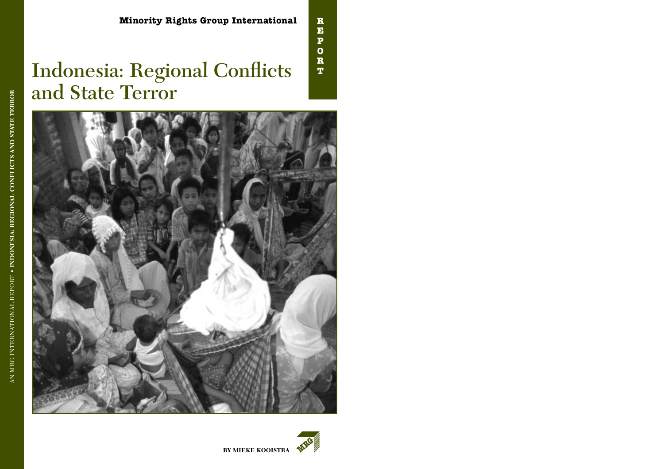## **Indonesia: Regional Conflicts and State Terror**



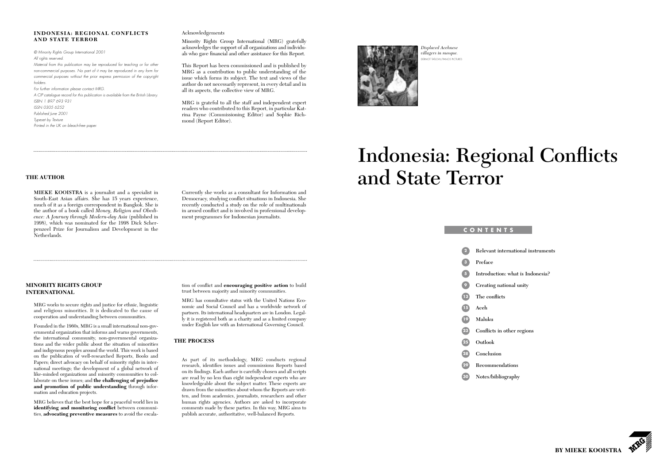#### **MINORITY RIGHTS GROUP INTERNATIONAL**

MRG works to secure rights and justice for ethnic, linguistic and religious minorities. It is dedicated to the cause of cooperation and understanding between communities.

Founded in the 1960s, MRG is a small international non-governmental organization that informs and warns governments, the international community, non-governmental organizations and the wider public about the situation of minorities and indigenous peoples around the world. This work is based on the publication of well-researched Reports, Books and Papers; direct advocacy on behalf of minority rights in international meetings; the development of a global network of like-minded organizations and minority communities to collaborate on these issues; and **the challenging of prejudice and promotion of public understanding** through information and education projects.

MRG believes that the best hope for a peaceful world lies in **identifying and monitoring conflict** between communities, **advocating preventive measures** to avoid the escalation of conflict and **encouraging positive action** to build trust between majority and minority communities.

MRG has consultative status with the United Nations Economic and Social Council and has a worldwide network of partners. Its international headquarters are in London. Legally it is registered both as a charity and as a limited company under English law with an International Governing Council.

#### **THE PROCESS**

MRG is grateful to all the staff and independent expert readers who contributed to this Report, in particular Katrina Payne (Commissioning Editor) and Sophie Richmond (Report Editor).



As part of its methodology, MRG conducts regional research, identifies issues and commissions Reports based on its findings. Each author is carefully chosen and all scripts are read by no less than eight independent experts who are knowledgeable about the subject matter. These experts are drawn from the minorities about whom the Reports are written, and from academics, journalists, researchers and other human rights agencies. Authors are asked to incorporate comments made by these parties. In this way, MRG aims to publish accurate, authoritative, well-balanced Reports.

#### **INDONESIA: REGIONAL CONFLICTS AND STATE TERROR**

*© Minority Rights Group International 2001 All rights reserved.*

*Material from this publication may be reproduced for teaching or for other non-commercial purposes. No part of it may be reproduced in any form for commercial purposes without the prior express permission of the copyright holders.*

*For further information please contact MRG.*

*A CIP catalogue record for this publication is available from the British Library. ISBN 1 897 693 931 ISSN 0305 6252 Published June 2001 Typeset by Texture Printed in the UK on bleach-free paper.*

#### Acknowledgements

Minority Rights Group International (MRG) gratefully acknowledges the support of all organizations and individuals who gave financial and other assistance for this Report.

This Report has been commissioned and is published by MRG as a contribution to public understanding of the issue which forms its subject. The text and views of the author do not necessarily represent, in every detail and in all its aspects, the collective view of MRG.

**MIEKE KOOISTRA** is a journalist and a specialist in South-East Asian affairs. She has 15 years experience, much of it as a foreign correspondent in Bangkok. She is the author of a book called *Money, Religion and Obedience: A Journey through Modern-day Asia* (published in 1998), which was nominated for the 1998 Dick Scherpenzeel Prize for Journalism and Development in the Netherlands.

Currently she works as a consultant for Information and Democracy, studying conflict situations in Indonesia. She recently conducted a study on the role of multinationals in armed conflict and is involved in professional development programmes for Indonesian journalists.

#### **THE AUTHOR**

**BY MIEKE KOOISTRA**

#### **CONTENTS**

**Relevant international instruments**

**Introduction: what is Indonesia?**

**Creating national unity** 

**Conflicts in other regions**



- **Preface 2**
- **3**
- **5**
- **9**
- **The conflicts 13**
- **Aceh 15**
- **Maluku 19**
- **23**
- **Outlook 25**
- **Conclusion 28**
- **Recommendations 29**
- **Notes/bibliography 30**

*Displaced Acehnese villagers in mosque.* DERMOT TATLOW/PANOS PICTURES

## **Indonesia: Regional Conflicts and State Terror**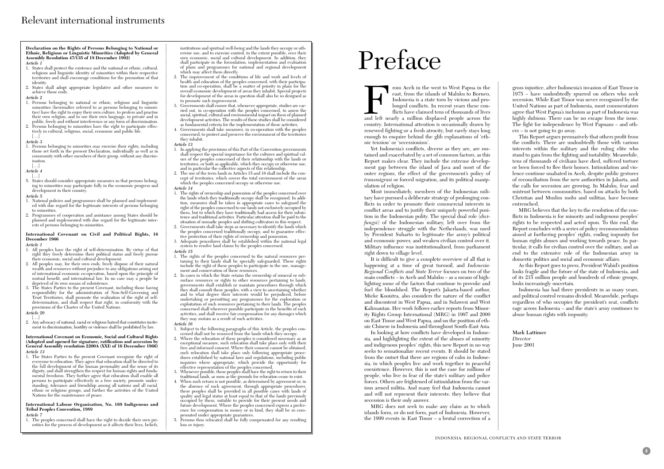From Aceh in the west to West Papua in the east, from the islands of Maluku to Borneo, Indonesia is a state torn by vicious and pro-<br>longed conflicts. In recent years these conflicts have claimed tens of thousands of lives east, from the islands of Maluku to Borneo, Indonesia is a state torn by vicious and prolonged conflicts. In recent years these conflicts have claimed tens of thousands of lives and left nearly a million displaced people across the country. International attention is occasionally drawn by renewed fighting or a fresh atrocity, but rarely stays long enough to enquire behind the glib explanations of 'ethnic tension' or 'secessionism'.

Yet Indonesia's conflicts, diverse as they are, are sustained and exacerbated by a set of common factors, as this Report makes clear. They include the extreme development gap between the island of Java and most of the outer regions, the effect of the government's policy of *transmigrasi* or forced migration, and its political manipulation of religion.

Most immediately, members of the Indonesian military have pursued a deliberate strategy of prolonging conflicts in order to promote their commercial interests in conflict areas and to justify their uniquely powerful position in the Indonesian polity. The special dual role (*dwifungsi*) of the Indonesian military, left over from the independence struggle with the Netherlands, was used by President Suharto to legitimate the army's political and economic power, and weaken civilian control over it. Military influence was institutionalized, from parliament right down to village level.

It is difficult to give a complete overview of all that is happening at a time of great turmoil, and *Indonesia: Regional Conflicts and State Terror* focuses on two of the main conflicts – in Aceh and Maluku – as a means of highlighting some of the factors that continue to provoke and fuel the bloodshed. The Report's Jakarta-based author, Mieke Kooistra, also considers the nature of the conflict and discontent in West Papua, and in Sulawesi and West Kalimantan. Her work follows earlier reports from Minority Rights Group International (MRG) in 1997 and 2000 on East Timor and West Papua, and on the position of ethnic Chinese in Indonesia and throughout South-East Asia.

In looking at how conflicts have developed in Indonesia, and highlighting the extent of the abuses of minority and indigenous peoples' rights, this new Report in no way seeks to sensationalize recent events. It should be stated from the outset that there are regions of calm in Indonesia, in which peoples live and work together in peaceful coexistence. However, this is not the case for millions of people, who live in fear of the state's military and police forces. Others are frightened of intimidation from the various armed militia. And many feel that Indonesia cannot and will not represent their interests: they believe that secession is their only answer.

- 
- 1. States shall protect the existence and the national or ethnic, cultural, religious and linguistic identity of minorities within their respective territories and shall encourage conditions for the promotion of that identity.
- 2. States shall adopt appropriate legislative and other measures to achieve those end

MRG does not seek to make any claim as to which islands form, or do not form, part of Indonesia. However, the 1999 events in East Timor – a brutal correction of a

gross injustice, after Indonesia's invasion of East Timor in 1975 – have undoubtedly spurred on others who seek secession. While East Timor was never recognized by the United Nations as part of Indonesia, most commentators agree that West Papua's inclusion as part of Indonesia was highly dubious. There can be no escape from the issue. The fight for independence by West Papuans – and others – is not going to go away.

This Report argues persuasively that others profit from the conflicts. There are undoubtedly those with various interests within the military and the ruling elite who stand to gain from the fighting and instability. Meanwhile, tens of thousands of civilians have died, suffered torture or been forced to flee their homes. Intimidation and violence continue unabated in Aceh, despite public gestures of reconciliation from the new authorities in Jakarta, and the calls for secession are growing. In Maluku, fear and mistrust between communities, based on attacks by both Christian and Muslim mobs and militias, have become entrenched.

MRG believes that the key to the resolution of the conflicts in Indonesia is for minority and indigenous peoples' rights to be respected and acted upon. To this end, the Report concludes with a series of policy recommendations aimed at furthering peoples' rights, ending impunity for human rights abuses and working towards peace. In particular, it calls for civilian control over the military, and an end to the extensive role of the Indonesian army in domestic politics and social and economic affairs.

institutions and spiritual well-being and the lands they occupy or otherwise use, and to exercise control, to the extent possible, over their own economic, social and cultural development. In addition, they shall participate in the formulation, implementation and evaluation of plans and programmes for national and regional development which may affect them directly.

- 2. The improvement of the conditions of life and work and levels of health and education of the peoples concerned, with their participation and co-operation, shall be a matter of priority in plans for the overall economic development of areas they inhabit. Special projects for development of the areas in question shall also be so designed as to promote such improvement.
- 3. Governments shall ensure that, whenever appropriate, studies are carried out, in co-operation with the peoples concerned, to assess the social, spiritual, cultural and environmental impact on them of planned development activities. The results of these studies shall be considered as fundamental criteria for the implementation of these activities.
- Governments shall take measures, in co-operation with the peoples concerned, to protect and preserve the environment of the territories they inhabit.
- *Article 13*
- 1. In applying the provisions of this Part of the Convention governments shall respect the special importance for the cultures and spiritual values of the peoples concerned of their relationship with the lands or territories, or both as applicable, which they occupy or otherwise use, and in particular the collective aspects of this relationship.
- 2. The use of the term lands in Articles 15 and 16 shall include the concept of territories, which covers the total environment of the areas which the peoples concerned occupy or otherwise use.

As this Report goes to press, President Wahid's position looks fragile and the future of the state of Indonesia, and of its 215 million people and hundreds of ethnic groups, looks increasingly uncertain.

Indonesia has had three presidents in as many years, and political control remains divided. Meanwhile, perhaps regardless of who occupies the president's seat, conflicts rage across Indonesia – and the state's army continues to abuse human rights with impunity.

**Mark Lattimer** *Director* June 2001

**3**

**Declaration on the Rights of Persons Belonging to National or Ethnic, Religious or Linguistic Minorities (Adopted by General Assembly Resolution 47/135 of 18 December 1992)** *Article 1* 

*Article 2* 

- 1. Persons belonging to national or ethnic, religious and linguistic minorities (hereinafter referred to as persons belonging to minorities) have the right to enjoy their own culture, to profess and practise their own religion, and to use their own language, in private and in public, freely and without interference or any form of discrimination.
- 2. Persons belonging to minorities have the right to participate effectively in cultural, religious, social, economic and public life. […]

#### *Article 3*

1. Persons belonging to minorities may exercise their rights, including those set forth in the present Declaration, individually as well as in community with other members of their group, without any discrimination.

- The rights of the peoples concerned to the natural resources pertaining to their lands shall be specially safeguarded. These rights include the right of these peoples to participate in the use, management and conservation of these resources.
- 2. In cases in which the State retains the ownership of mineral or subsurface resources or rights to other resources pertaining to lands, governments shall establish or maintain procedures through which they shall consult these peoples, with a view to ascertaining whether and to what degree their interests would be prejudiced, before undertaking or permitting any programmes for the exploration or exploitation of such resources pertaining to their lands. The peoples concerned shall wherever possible participate in the benefits of such activities, and shall receive fair compensation for any damages which they may sustain as a result of such activities.

[…]

*Article 4* 

[…] 5. States should consider appropriate measures so that persons belonging to minorities may participate fully in the economic progress and development in their country.

*Article 5* 

- 1. National policies and programmes shall be planned and implemented with due regard for the legitimate interests of persons belonging to minorities.
- 2. Programmes of cooperation and assistance among States should be planned and implemented with due regard for the legitimate interests of persons belonging to minorities.

#### **International Covenant on Civil and Political Rights, 16 December 1966**

*Article 1* 

- 1. All peoples have the right of self-determination. By virtue of that right they freely determine their political status and freely pursue their economic, social and cultural development.
- 2. All peoples may, for their own ends, freely dispose of their natural wealth and resources without prejudice to any obligations arising out of international economic co-operation, based upon the principle of mutual benefit, and international law. In no case may a people be deprived of its own means of subsistence.
- 3. The States Parties to the present Covenant, including those having responsibility for the administration of Non-Self-Governing and Trust Territories, shall promote the realization of the right of selfdetermination, and shall respect that right, in conformity with the provisions of the Charter of the United Nations.

*Article 20*

[…] 2. Any advocacy of national, racial or religious hatred that constitutes incitement to discrimination, hostility or violence shall be prohibited by law.

#### **International Covenant on Economic, Social and Cultural Rights (Adopted and opened for signature, ratification and accession by General Assembly resolution 2200A (XXI) of 16 December 1966)** *Article 13*

1. The States Parties to the present Covenant recognize the right of everyone to education. They agree that education shall be directed to the full development of the human personality and the sense of its dignity, and shall strengthen the respect for human rights and fundamental freedoms. They further agree that education shall enable all persons to participate effectively in a free society, promote understanding, tolerance and friendship among all nations and all racial, ethnic or religious groups, and further the activities of the United Nations for the maintenance of peace.

#### **International Labour Organisation, No. 169 Indigenous and Tribal Peoples Convention, 1989**  *Article 7*

- 
- 1. The peoples concerned shall have the right to decide their own priorities for the process of development as it affects their lives, beliefs,

#### *Article 14*

- 1. The rights of ownership and possession of the peoples concerned over the lands which they traditionally occupy shall be recognised. In addition, measures shall be taken in appropriate cases to safeguard the right of the peoples concerned to use lands not exclusively occupied by them, but to which they have traditionally had access for their subsistence and traditional activities. Particular attention shall be paid to the situation of nomadic peoples and shifting cultivators in this respect.
- 2. Governments shall take steps as necessary to identify the lands which the peoples concerned traditionally occupy, and to guarantee effective protection of their rights of ownership and possession.
- 3. Adequate procedures shall be established within the national legal system to resolve land claims by the peoples concerned.

#### *Article 15*

#### *Article 16*

- 1. Subject to the following paragraphs of this Article, the peoples concerned shall not be removed from the lands which they occupy.
- 2. Where the relocation of these peoples is considered necessary as an exceptional measure, such relocation shall take place only with their free and informed consent. Where their consent cannot be obtained, such relocation shall take place only following appropriate procedures established by national laws and regulations, including public inquiries where appropriate, which provide the opportunity for effective representation of the peoples concerned.
- Whenever possible, these peoples shall have the right to return to their traditional lands, as soon as the grounds for relocation cease to exist.
- When such return is not possible, as determined by agreement or, in the absence of such agreement, through appropriate procedures, these peoples shall be provided in all possible cases with lands of quality and legal status at least equal to that of the lands previously occupied by them, suitable to provide for their present needs and future development. Where the peoples concerned express a preference for compensation in money or in kind, they shall be so compensated under appropriate guarantees.
- 5. Persons thus relocated shall be fully compensated for any resulting loss or injury.

## Preface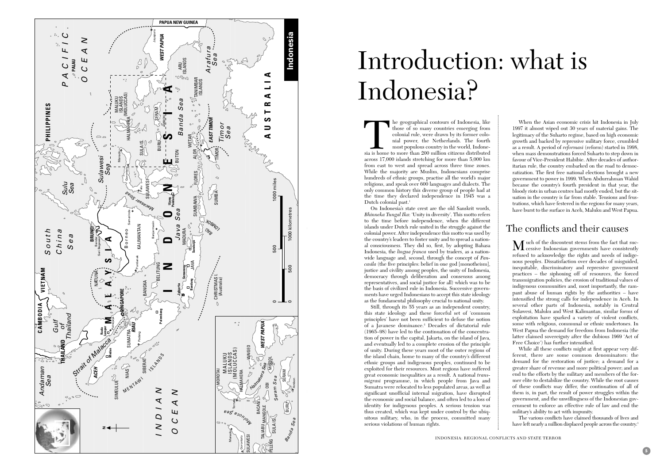On Indonesia's state crest are the old Sanskrit words, *Bhinneka Tungal Ika*: 'Unity in diversity'. This motto refers to the time before independence, when the different islands under Dutch rule united in the struggle against the colonial power. After independence this motto was used by the country's leaders to foster unity and to spread a national consciousness. They did so, first, by adopting Bahasa Indonesia, the *lingua franca* used by traders, as a nationwide language and, second, through the concept of *Pancasila* (the five principles: belief in one god [monotheism], justice and civility among peoples, the unity of Indonesia, democracy through deliberation and consensus among representatives, and social justice for all) which was to be the basis of civilized rule in Indonesia. Successive governments have urged Indonesians to accept this state ideology as the fundamental philosophy crucial to national unity.

Still, through its 55 years as an independent country, this state ideology and these forceful set of 'common principles' have not been sufficient to defuse the notion of a Javanese dominance.2 Decades of dictatorial rule (1965–98) have led to the continuation of the concentration of power in the capital, Jakarta, on the island of Java, and eventually led to a complete erosion of the principle of unity. During these years most of the outer regions of the island chain, home to many of the country's different ethnic groups and indigenous peoples, continued to be exploited for their resources. Most regions have suffered great economic inequalities as a result. A national *transmigrasi* programme, in which people from Java and Sumatra were relocated to less populated areas, as well as significant unofficial internal migration, have disrupted the economic and social balance, and often led to a loss of identity for indigenous peoples. A serious tension was thus created, which was kept under control by the ubiquitous military, who, in the process, committed many serious violations of human rights.

M uch of the discontent stems from the fact that suc-<br>cessive Indonesian governments have consistently refused to acknowledge the rights and needs of indigenous peoples. Dissatisfaction over decades of misguided, inequitable, discriminatory and repressive government practices – the siphoning off of resources, the forced transmigration policies, the erosion of traditional values of indigenous communities and, most importantly, the rampant abuse of human rights by the authorities – have intensified the strong calls for independence in Aceh. In several other parts of Indonesia, notably in Central Sulawesi, Maluku and West Kalimantan, similar forms of exploitation have sparked a variety of violent conflicts, some with religious, communal or ethnic undertones. In West Papua the demand for freedom from Indonesia (the latter claimed sovereignty after the dubious 1969 'Act of Free Choice') has further intensified.

The various conflicts have claimed thousands of lives and have left nearly a million displaced people across the country.<sup>3</sup>

When the Asian economic crisis hit Indonesia in July 1997 it almost wiped out 30 years of material gains. The legitimacy of the Suharto regime, based on high economic growth and backed by repressive military force, crumbled as a result. A period of *reformasi* (reform) started in 1998, when mass demonstrations forced Suharto to step down in favour of Vice-President Habibie. After decades of authoritarian rule, the country embarked on the road to democratization. The first free national elections brought a new government to power in 1999. When Abdurrahman Wahid became the country's fourth president in that year, the bloody riots in urban centres had mostly ended, but the situation in the country is far from stable. Tensions and frustrations, which have festered in the regions for many years, have burst to the surface in Aceh, Maluku and West Papua.

#### The conflicts and their causes

While all these conflicts might at first appear very different, there are some common denominators: the demand for the restoration of justice; a demand for a greater share of revenue and more political power; and an end to the efforts by the military and members of the former elite to destabilize the country. While the root causes of these conflicts may differ, the continuation of all of them is, in part, the result of power struggles within the government, and the unwillingness of the Indonesian government to enforce an effective rule of law and end the military's ability to act with impunity.

INDONESIA: REGIONAL CONFLICTS AND STATE TERROR

# Introduction: what is Indonesia?

The geographical contours of Indonesia, like<br>those of so many countries emerging from<br>colonial rule, were drawn by its former colo-<br>nial power, the Netherlands. The fourth<br>most populous country in the world, Indone-<br>sia is those of so many countries emerging from colonial rule, were drawn by its former colonial power, the Netherlands. The fourth most populous country in the world, Indoneacross 17,000 islands stretching for more than 5,000 km from east to west and spread across three time zones. While the majority are Muslim, Indonesians comprise hundreds of ethnic groups, practise all the world's major religions, and speak over 600 languages and dialects. The only common history this diverse group of people had at the time they declared independence in 1945 was a Dutch colonial past.<sup>1</sup>

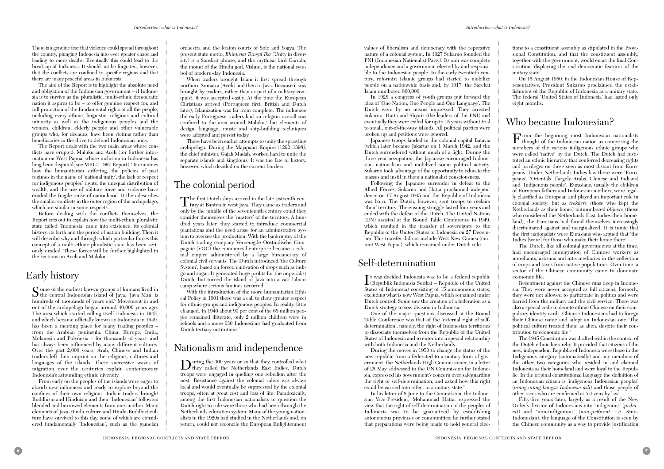There is a genuine fear that violence could spread throughout the country, plunging Indonesia into ever greater chaos and leading to more deaths. Eventually this could lead to the break-up of Indonesia. It should not be forgotten, however, that the conflicts are confined to specific regions and that there are many peaceful areas in Indonesia.

The aim of the Report is to highlight the absolute need and obligation of the Indonesian government – if Indonesia is to survive as the pluralistic, multi-ethnic democratic nation it aspires to be – to offer genuine respect for, and full protection of the fundamental rights of all the people, including every ethnic, linguistic, religious and cultural minority as well as the indigenous peoples and the women, children, elderly people and other vulnerable groups who, for decades, have been victims rather than beneficiaries in the drive to defend Indonesian unity.

The Report deals with the two main areas where conflicts have erupted, Maluku and Aceh (for further information on West Papua, whose inclusion in Indonesia has long been disputed, see MRG's 1997 Report).<sup>4</sup> It examines how the humanitarian suffering, the policies of past regimes in the name of 'national unity', the lack of respect for indigenous peoples' rights, the unequal distribution of wealth, and the use of military force and violence have eroded the fragile sense of nationhood. It then describes the smaller conflicts in the outer region of the archipelago, which are similar in some respects.

 $\sum$  ome of the earliest known groups of humans lived in<br>the central Indonesian island of Java; 'Java Man' is<br>known and a f the central information and hundreds of thousands of years old.<sup>5</sup> Movement in and out of the archipelago began around 40,000 years ago. The area which started calling itself Indonesia in 1945, and which became officially known as Indonesia in 1949, has been a meeting place for many trading peoples – from the Arabian peninsula, China, Europe, India, Melanesia and Polynesia – for thousands of years, and has always been influenced by many different cultures. Over the past 2,000 years, Arab, Chinese and Indian traders left their imprint on the religions, cultures and languages of the islands. These successive waves of migration over the centuries explain contemporary Indonesia's astounding ethnic diversity.

Before dealing with the conflicts themselves, the Report sets out to explain how the multi-ethnic pluralistic state called 'Indonesia' came into existence, its colonial history, its birth and the period of nation building. Then it will describe why and through which particular forces this concept of a multi-ethnic pluralistic state has been seriously eroded. These forces will be further highlighted in the sections on Aceh and Maluku.

### Early history

When traders brought Islam it first spread through northern Sumatra (Aceh) and then to Java. Because it was brought by traders, rather than as part of a military conquest, it was accepted easily. At the time the European Christians arrived (Portuguese first, British and Dutch later), Islamization was far from complete. The influence the early Portuguese traders had on religion overall was confined to the area around Maluku,<sup>6</sup> but elements of design, language, music and ship-building techniques were adopted and persist today.

There have been earlier attempts to unify the sprawling archipelago. During the Majapahit Empire (1292–1398), the chief minister, Gajah Madah, worked hard to unite the separate islands and kingdoms. It was the fate of history, however, which decided on the current borders.

The first Dutch ships arrived in the late sixteenth century at Banten in west Java. They came as traders and only by the middle of the seventeenth century could they consider themselves the 'masters' of the territory. A hundred years later, they started to introduce commercial plantations and the need arose for an administrative system to oversee the production. With the bankruptcy of the Dutch trading company Vereenigde Oostindische Compagnie (VOC) the commercial enterprise became a colonial empire administered by a large bureaucracy of colonial civil servants. The Dutch introduced 'the Culture System', based on forced cultivation of crops such as indigo and sugar. It generated huge profits for the imperialist Dutch, but turned the island of Java into a vast labour camp where serious famines occurred.

From early on the peoples of the islands were eager to absorb new influences and ready to explore beyond the confines of their own religions. Indian traders brought Buddhism and Hinduism and their 'Indonesian' followers blended and borrowed elements from one another. Many elements of Java-Hindu culture and Hindu-Buddhist culture have survived to this day, some of which are considered fundamentally 'Indonesian', such as the gamelan

During the 300 years or so that they controlled what<br>they called the Netherlands East Indies, Dutch<br>the same superior of the the troops were engaged in quelling one rebellion after the next. Resistance against the colonial rulers was always local and would eventually be suppressed by the colonial troops, often at great cost and loss of life. Paradoxically, among the first Indonesian nationalists to question the Dutch right to rule were those who had been through the Netherlands education system. Many of the young nationalists in the 1920s had studied in the Netherlands and, on return, could not reconcile the European Enlightenment

orchestra and the kraton courts of Solo and Yogya. The present state motto, *Bhinneka Tungal Ika* (Unity in diversity) is a Sanskrit phrase, and the mythical bird Garuda, the mount of the Hindu god, Vishnu, is the national symbol of modern-day Indonesia.

> It was decided Indonesia was to be a federal republic<br>
> (Republik Indonesia Serikat – Republic of the United<br>
> States of Jacksonia) consisting of Jackson was attack States of Indonesia) consisting of 15 autonomous states, excluding what is now West Papua, which remained under Dutch control. Some saw the creation of a federation as a Dutch strategy to sow division in Indonesia.

### The colonial period

During the moves in 1950 to change the status of the new republic from a federated to a unitary form of government, the Netherlands High Commissioner, in a letter of 25 May addressed to the UN Commission for Indonesia, expressed his government's concern over safeguarding the right of self-determination, and asked how this right could be carried into effect in a unitary state.<sup>8</sup>

With the introduction of the more humanitarian Ethical Policy in 1901 there was a call to show greater respect for ethnic groups and indigenous peoples. In reality, little changed. In 1940 about 90 per cent of the 68 million people remained illiterate, only 2 million children were in schools and a mere 630 Indonesians had graduated from Dutch tertiary institutions.7

 $\Gamma$  rom the beginning most Indonesian nationalists<br>thought of the Indonesian nation as comprising the<br>manufacture of the unique indicates we select the manufacture members of the various indigenous ethnic groups who were called 'native' by the Dutch. The Dutch had instituted an ethnic hierarchy that conferred decreasing rights and privileges on those seen as most distant from Europeans. Under Netherlands Indies law there were 'Europeans', 'Orientals' (largely Arabs, Chinese and Indians) and 'Indigenous people'. Eurasians, usually the children of European fathers and Indonesian mothers, were legally classified as European and played an important role in colonial society; but as *trekkers* (those who kept the Netherlands as their home) outnumbered *blijvers* (those who considered the Netherlands East Indies their homeland), the Eurasians had found themselves increasingly discriminated against and marginalized. It is ironic that the first nationalists were Eurasians who argued that 'the Indies [were] for those who make their home there'.

## Nationalism and independence

Resentment against the Chinese runs deep in Indonesia. They were never accepted as full citizens; formerly, they were not allowed to participate in politics and were barred from the military and the civil service. There was also a special code to denote ethnic Chinese on their compulsory identity cards. Chinese Indonesians had to forego their Chinese name and adopt an Indonesian one. The political culture treated them as alien, despite their contribution to economic life.<sup>9</sup>

values of liberalism and democracy with the repressive nature of a colonial system. In 1927 Sukarno founded the PNI (Indonesian Nationalist Party). Its aim was complete independence and a government elected by and responsible to the Indonesian people. In the early twentieth century, reformist Islamic groups had started to mobilize people on a nationwide basis and, by 1917, the Sarekat Islam numbered 800,000.

In 1928 a congress of youth groups put forward the idea of 'One Nation, One People and One Language'. The Dutch were by no means impressed. They arrested Sukarno, Hatta and Shjarir (the leaders of the PNI) and eventually they were exiled for up to 15 years without trial to small, out-of-the-way islands. All political parties were broken up and petitions were ignored.

Japanese troops landed in the colonial capital Batavia (which later became Jakarta) on 1 March 1942, and the Dutch surrendered without much of a fight. During the three-year occupation, the Japanese encouraged Indonesian nationalism and mobilized some political activity. Sukarno took advantage of the opportunity to educate the masses and instil in them a nationalist consciousness.

Following the Japanese surrender in defeat to the Allied Forces, Sukarno and Hatta proclaimed independence on 17 August 1945 and the Republic of Indonesia was born. The Dutch, however, sent troops to reclaim 'their' territory. The ensuing struggle lasted four years and ended with the defeat of the Dutch. The United Nations (UN) assisted at the Round Table Conference in 1949, which resulted in the transfer of sovereignty to the Republic of the United States of Indonesia on 27 December. This transfer did not include West New Guinea (current West Papua), which remained under Dutch rule.

#### Self-determination

One of the major questions discussed at the Round Table Conference was that of the 'external right of selfdetermination', namely, the right of Indonesian territories to dissociate themselves from the Republic of the United States of Indonesia and to enter into a special relationship with both Indonesia and the Netherlands.

In his letter of 8 June to the Commission, the Indonesian Vice-President, Mohammad Hatta, expressed the view that the right of self-determination of the peoples of Indonesia was to be guaranteed by establishing autonomous provinces or communities; he further stated that preparations were being made to hold general elec-

tions to a constituent assembly as stipulated in the Provisional Constitution, and that the constituent assembly, together with the government, would enact the final Constitution 'displaying the real democratic features of the unitary state'.

On 15 August 1950, in the Indonesian House of Representatives, President Sukarno proclaimed the establishment of the Republic of Indonesia as a unitary state. The federal 'United States of Indonesia' had lasted only eight months.

### Who became Indonesian?

The Dutch, like all colonial governments at the time, had encouraged immigration of Chinese workers as merchants, artisans and intermediaries in the collection of crops and taxes from native populations. Over time, a sector of the Chinese community came to dominate economic life.

The 1945 Constitution was drafted within the context of the Dutch ethnic hierarchy. It provided that citizens of the new, independent Republic of Indonesia were those in the Indigenous category (automatically) and any members of the other two categories who resided in and claimed Indonesia as their homeland and were loyal to the Republic. In the original constitutional language the definition of an Indonesian citizen is 'indigenous Indonesian peoples' (*orang-orang bangsa Indonesia asli*) and those people of other races who are confirmed as 'citizens by law'.

Fifty-five years later, largely as a result of the New Order's division of Indonesians into 'indigenous' (*pribumi*) and 'non-indigenous' (*non-pribumi*, i.e. Sino-Indonesian), the language of the Constitution is seen by the Chinese community as a way to provide justification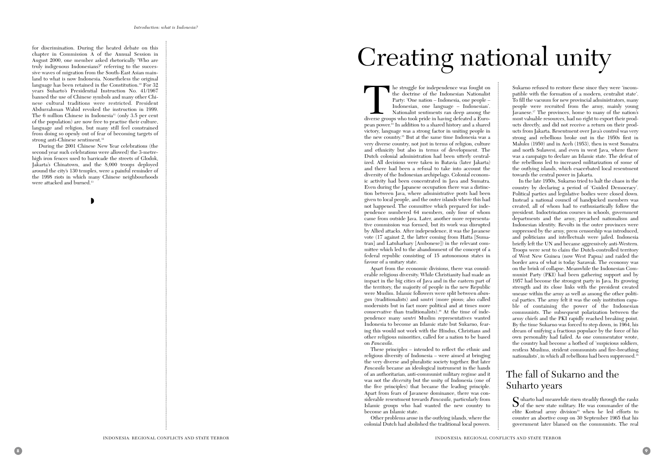The struggle for independence was fought on<br>the doctrine of the Indonesian Nationalist<br>Party: 'One nation – Indonesia, one people –<br>Indonesian, one language – Indonesian'.<br>Nationalist sentiments ran deep among the<br>diverse the doctrine of the Indonesian Nationalist Party: 'One nation – Indonesia, one people – Indonesian, one language – Indonesian ' . Nationalist sentiments ran deep among the pean power.14 In addition to a shared history and a shared victory, language was a strong factor in uniting people in the new country.15 But at the same time Indonesia was a very diverse country, not just in terms of religion, culture and ethnicity but also in terms of development. The Dutch colonial administration had been utterly centralized. All decisions were taken in Batavia (later Jakarta) and there had been a refusal to take into account the diversity of the Indonesian archipelago. Colonial economic activity had been concentrated in Java and Sumatra. Even during the Japanese occupation there was a distinction between Java, where administrative posts had been given to local people, and the outer islands where this had not happened. The committee which prepared for independence numbered 64 members, only four of whom came from outside Java. Later, another more representative commission was formed, but its work was disrupted by Allied attacks. After independence, it was the Javanese vote (17 against 2, the latter coming from Hatta [Sumatran] and Latuharhary [Ambonese]) in the relevant committee which led to the abandonment of the concept of a federal republic consisting of 15 autonomous states in favour of a unitary state.

Apart from the economic divisions, there was considerable religious diversity. While Christianity had made an impact in the big cities of Java and in the eastern part of the territory, the majority of people in the new Republic were Muslim. Islamic followers were split between *abangan* (traditionalists) and *santri* (more pious; also called modernists but in fact more political and at times more conservative than traditionalists).<sup>16</sup> At the time of independence many *santri* Muslim representatives wanted Indonesia to become an Islamic state but Sukarno, fearing this would not work with the Hindus, Christians and other religious minorities, called for a nation to be based on *Pancasila* .

These principles – intended to re flect the ethnic and religious diversity of Indonesia – were aimed at bringing the very diverse and pluralistic society together. But later *Pancasila* became an ideological instrument in the hands of an authoritarian, anti-communist military regime and it was not the *diversity* but the *unity* of Indonesia (one of the five principles) that became the leading principle. Apart from fears of Javanese dominance, there was considerable resentment towards *Pancasila*, particularly from Islamic groups who had wanted the new country to become an Islamic state.

 $\sum$  of the new state military. He was commander of the ranks elite Kostrad army division<sup>19</sup> when he led efforts to counter an abortive coup on 30 September 1965 that his government later blamed on the communists. The real

Other problems arose in the outlying islands, where the colonial Dutch had abolished the traditional local powers.

for discrimination. During the heated debate on this chapter in Commission A of the Annual Session in August 2000, one member asked rhetorically 'Who are truly indigenous Indonesians? ' referring to the successive waves of migration from the South-East Asian mainland to what is now Indonesia. Nonetheless the original language has been retained in the Constitution.<sup>10</sup> For  $32$ years Suharto 's Presidential Instruction No. 41/1967 banned the use of Chinese symbols and many other Chinese cultural traditions were restricted. President Abdurrahman Wahid revoked the instruction in 1999. The 6 million Chinese in Indonesia<sup>11</sup> (only 3.5 per cent of the population) are now free to practise their culture, language and religion, but many still feel constrained from doing so openly out of fear of becoming targets of strong anti-Chinese sentiment.<sup>12</sup>

During the 2001 Chinese New Year celebrations (the second year such celebrations were allowed) the 3-metrehigh iron fences used to barricade the streets of Glodok, Jakarta 's Chinatown, and the 8,000 troops deployed around the city 's 130 temples, were a painful reminder of the 1998 riots in which many Chinese neighbourhoods were attacked and burned.<sup>13</sup>

Sukarno refused to restore these since they were 'incompatible with the formation of a modern, centralist state'. To fill the vacuum for new provincial administrators, many people were recruited from the army, mainly young Javanese.<sup>17</sup> The provinces, home to many of the nation's most valuable resources, had no right to export their products directly, and did not receive a return on their products from Jakarta. Resentment over Java's control was very strong and rebellions broke out in the 1950s first in Maluku (1950) and in Aceh (1953), then in west Sumatra and north Sulawesi, and even in west Java, where there was a campaign to declare an Islamic state. The defeat of the rebellions led to increased militarization of some of the outlying islands, which exacerbated local resentment towards the central power in Jakarta.

In the late 1950s, Sukarno tried to halt the chaos in the country by declaring a period of 'Guided Democracy ' . Political parties and legislative bodies were closed down. Instead a national council of handpicked members was created, all of whom had to enthusiastically follow the president. Indoctrination courses in schools, government departments and the army, preached nationalism and Indonesian identity. Revolts in the outer provinces were suppressed by the army, press censorship was introduced, and politicians and intellectuals were jailed. Indonesia brie fly left the UN and became aggressively anti-Western. Troops were sent to claim the Dutch-controlled territory of West New Guinea (now West Papua) and raided the border area of what is today Sarawak. The economy was on the brink of collapse. Meanwhile the Indonesian Communist Party (PKI) had been gathering support and by 1957 had become the strongest party in Java. Its growing strength and its close links with the president created unease within the army as well as among the other political parties. The army felt it was the only institution capable of containing the power of the Indonesian communists. The subsequent polarization between the army chiefs and the PKI rapidly reached breaking point. By the time Sukarno was forced to step down, in 1964, his dream of unifying a fractious populace by the force of his own personality had failed. As one commentator wrote, the country had become a hotbed of 'suspicious soldiers, restless Muslims, strident communists and fire-breathing nationalists ', in which all rebellions had been suppressed.18

### The fall of Sukarno and the Suharto years

◗

# Creating national unity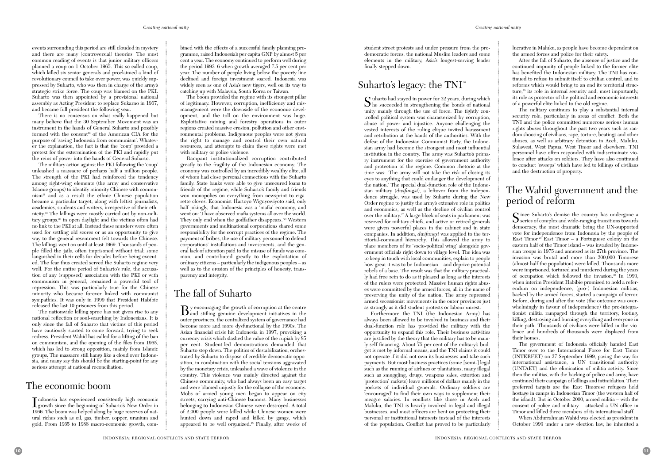student street protests and under pressure from the prodemocratic forces, the national Muslim leaders and some elements in the military, Asia's longest-serving leader finally stepped down.

## Suharto's legacy: the  $TNI^*$

 $\Gamma$  uharto had stayed in power for 32 years, during which  $\sum$  he succeeded in strengthening the bonds of national unity mainly through the use of force. The tightly controlled political system was characterized by corruption, abuse of power and injustice. Anyone challenging the vested interests of the ruling clique invited harassment and retribution at the hands of the authorities. With the defeat of the Indonesian Communist Party, the Indonesian army had become the strongest and most influential institution in the country. The army was Suharto's primary instrument for the exercise of government authority and protection of the regime. Common rhetoric at the time was: 'The army will not take the risk of closing its eyes to anything that could endanger the development of the nation.' The special dual-function role of the Indonesian military (*dwifungsi*), a leftover from the independence struggle, was used by Suharto during the New Order regime to justify the army's extensive role in politics and economics, as well as the decline of civilian control over the military.<sup>27</sup> A large block of seats in parliament was reserved for military chiefs, and active or retired generals were given powerful places in the cabinet and in state companies. In addition, *dwifungsi* was applied to the territorial-command hierarchy. This allowed the army to place members of its 'socio-political wing' alongside government officials right down to village level. The idea was to keep in touch with local communities, explain to people how great it was to be Indonesian – and deprive potential rebels of a base. The result was that the military practically had free rein to do as it pleased as long as the interests of the rulers were protected. Massive human rights abuses were committed by the armed forces, all in the name of preserving the unity of the nation. The army repressed armed secessionist movements in the outer provinces just as strongly as it did student protests or labour unrest.

Furthermore the TNI (the Indonesian Army) has always been allowed to be involved in business and their dual-function role has provided the military with the opportunity to expand this role. Their business activities are justified by the theory that the military has to be mainly self-financing. About 75 per cent of the military's budget is met by informal means, and the TNI claims it could not operate if it did not own its businesses and take such payments. But most business practices (some [semi-] legal such as the running of airlines or plantations, many illegal such as smuggling, drugs, weapons sales, extortion and 'protection' rackets) leave millions of dollars mainly in the pockets of individual generals. Ordinary soldiers are 'encouraged' to find their own ways to supplement their meagre salaries. In conflicts like those in Aceh and Maluku, the TNI is heavily involved in legal and illegal businesses, and most officers are bent on protecting their personal or institutional interests instead of the interests of the population. Conflict has proved to be particularly

Since Suharto's demise the country has undergone a<br>series of complex and wide-ranging transitions towards<br>demograms the most demography is the UN summated democracy, the most dramatic being the UN-supported vote for independence from Indonesia by the people of East Timor.<sup>29</sup> East Timor – a Portuguese colony on the eastern half of the Timor island – was invaded by Indonesian troops in 1975 and annexed as its 27th province. The invasion was brutal and more than 200,000 Timorese (almost half the population) were killed. Thousands more were imprisoned, tortured and murdered during the years of occupation which followed the invasion.30 In 1999, when interim President Habibie promised to hold a referendum on independence, (pro-) Indonesian militias, backed by the armed forces, started a campaign of terror. Before, during and after the vote (the outcome was overwhelmingly in favour of independence) the pro-integrationist militia rampaged through the territory, looting, killing, destroying and burning everything and everyone in their path. Thousands of civilians were killed in the violence and hundreds of thousands were displaced from their homes.

The government of Indonesia officially handed East Timor over to the International Force for East Timor (INTERFET) on 27 September 1999, paving the way for international assistance, a UN transitional authority (UNTAET) and the elimination of militia activity. Since then the militias, with the backing of police and army, have continued their campaign of killings and intimidation. Their preferred targets are the East Timorese refugees held hostage in camps in Indonesian Timor (the western half of the island). But in October 2000, armed militia – with the consent of police and military – attacked a UN office in Timor and killed three members of its international staff.

lucrative in Maluku, as people have become dependent on the armed forces and police for their safety.

After the fall of Suharto, the absence of justice and the continued impunity of people linked to the former elite has benefited the Indonesian military. The TNI has continued to refuse to submit itself to civilian control, and to reforms which would bring to an end its territorial structure,<sup>28</sup> its role in internal security and, most importantly, its role as protector of the political and economic interests of a powerful elite linked to the old regime.

There is no consensus on what really happened but many believe that the 30 September Movement was an instrument in the hands of General Suharto and possibly formed with the consent<sup>20</sup> of the American CIA for the purpose of 'saving Indonesia from communism'. Whatever the explanation, the fact is that the 'coup' provided a pretext for the extermination of the PKI and rapidly put the reins of power into the hands of General Suharto.

The military continues to play a substantial internal security role, particularly in areas of conflict. Both the TNI and the police committed numerous serious human rights abuses throughout the past two years such as random shooting of civilians, rape, torture, beatings and other abuses, as well as arbitrary detention in Aceh, Maluku, Sulawesi, West Papua, West Timor and elsewhere. TNI personnel have often responded with indiscriminate violence after attacks on soldiers. They have also continued to conduct 'sweeps' which have led to killings of civilians and the destruction of property.

### The Wahid government and the period of reform

The nationwide killing spree has not given rise to any national reflection or soul-searching by Indonesians. It is only since the fall of Suharto that victims of this period have cautiously started to come forward, trying to seek redress. President Wahid has called for a lifting of the ban on communism, and the opening of the files from 1965, which has led to strong opposition, mainly from Islamic groups. The massacre still hangs like a cloud over Indonesia, and many say this should be the starting-point for any serious attempt at national reconciliation.

Indonesia has experienced consistently high economic<br>growth since the beginning of Suharto's New Order in<br>1066. The beginning helixed class higher measure of not 1966. The boom was helped along by huge reserves of natural riches such as oil, gas, timber, copper, uranium and gold. From 1965 to 1988 macro-economic growth, com-

By encouraging the growth of corruption at the centre and stifling genuine development initiatives in the outer provinces, the centralized system of governance had become more and more dysfunctional by the 1990s. The Asian financial crisis hit Indonesia in 1997, provoking a currency crisis which slashed the value of the rupiah by 85 per cent. Student-led demonstrations demanded that Suharto step down. The politics of destabilization, orchestrated by Suharto to dispose of credible democratic opposition, in combination with the social tensions aggravated by the monetary crisis, unleashed a wave of violence in the country. This violence was mainly directed against the Chinese community, who had always been an easy target and were blamed unjustly for the collapse of the economy. Mobs of armed young men began to appear on city streets, carrying anti-Chinese banners. Many businesses belonging to Indonesian Chinese were destroyed. A total of 2,000 people were killed while Chinese women were hunted down and raped and killed by gangs, which appeared to be well organized.<sup>25</sup> Finally, after weeks of

When Abdurrahman Wahid was elected as president in October 1999 under a new election law, he inherited a

events surrounding this period are still clouded in mystery and there are many (controversial) theories. The most common reading of events is that junior military officers planned a coup on 1 October 1965. This so-called coup, which killed six senior generals and proclaimed a kind of revolutionary council to take over power, was quickly suppressed by Suharto, who was then in charge of the army's strategic strike force. The coup was blamed on the PKI. Suharto was then appointed by a provisional national assembly as Acting President to replace Sukarno in 1967, and became full president the following year.

The military action against the PKI following the 'coup' unleashed a massacre of perhaps half a million people. The strength of the PKI had reinforced the tendency among right-wing elements (the army and conservative Islamic groups) to identify minority Chinese with commu $n$ ism<sup>21</sup> and as a result the ethnic Chinese population became a particular target, along with leftist journalists, academics, students and writers, irrespective of their ethnicity.22 The killings were mostly carried out by non-military groups,23 in open daylight and the victims often had no link to the PKI at all. Instead these murders were often used for settling old scores or as an opportunity to give way to the general resentment felt towards the Chinese. The killings went on until at least 1969. Thousands of people filled the jails, often imprisoned without trial; some languished in their cells for decades before being executed. The fear thus created served the Suharto regime very well. For the entire period of Suharto's rule, the accusation of any (supposed) association with the PKI or with communism in general, remained a powerful tool of repression. This was particularly true for the Chinese minority who became forever linked with communist sympathies. It was only in 1999 that President Habibie released the last 10 prisoners from this period.

#### The economic boom

bined with the effects of a successful family planning programme, raised Indonesia's per capita GNP by almost 5 per cent a year. The economy continued to perform well during the period 1993–6 when growth averaged 7.5 per cent per year. The number of people living below the poverty line declined and foreign investment soared. Indonesia was widely seen as one of Asia's new tigers, well on its way to catching up with Malaysia, South Korea or Taiwan.

The boom provided the regime with its strongest pillar of legitimacy. However, corruption, inefficiency and mismanagement were the downside of the economic development, and the toll on the environment was huge. Exploitative mining and forestry operations in outer regions created massive erosion, pollution and other environmental problems. Indigenous peoples were not given the right to manage and control their own natural resources, and attempts to claim these rights were met with military or police violence.

Rampant institutionalized corruption contributed greatly to the fragility of the Indonesian economy. The economy was controlled by an incredibly wealthy elite, all of whom had close personal connections with the Suharto family. State banks were able to give unsecured loans to friends of the regime, while Suharto's family and friends won monopolies on everything from newsprint to cigarette cloves. Economist Hartoyo Wignyowiyoto said, only half-jokingly, that Indonesia was a 'mafia' economy, and went on: 'I have observed mafia systems all over the world. They only end when the godfather disappears.' <sup>24</sup> Western governments and multinational corporations shared some responsibility for the corrupt practices of the regime. The payment of bribes, the use of military personnel to defend corporations' installations and investments, and the general lack of attention paid to the misuse of funds was common, and contributed greatly to the exploitation of ordinary citizens – particularly the indigenous peoples – as well as to the erosion of the principles of honesty, transparency and integrity.

## The fall of Suharto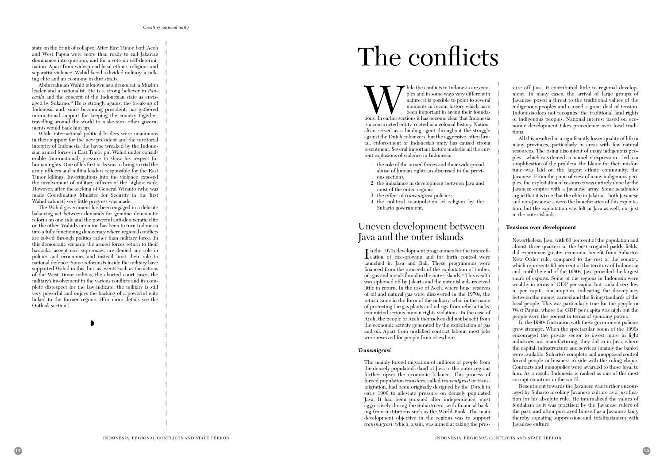We have the conflicts in Indonesia are complex and in some ways very different in nature, it is possible to point to several moments in recent history which have been important in laying their foundations. In earlier secti hile the conflicts in Indonesia are complex and in some ways very different in nature, it is possible to point to several moments in recent history which have been important in laying their foundais a constructed entity, rooted in a colonial history. Nationalism served as a binding agent throughout the struggle against the Dutch colonizers, but the aggressive, often brutal, enforcement of Indonesia's unity has caused strong resentment. Several important factors underlie all the current explosions of violence in Indonesia:

## Uneven development between Java and the outer islands

- 1. the role of the armed forces and their widespread abuse of human rights (as discussed in the previous section);
- 2. the imbalance in development between Java and most of the outer regions;
- 3. the effect of *transmigrasi* policies;
- 4. the political manipulation of religion by the Suharto government.

fi - **L** cation of rice-growing and for birth control were launched in Java and Bali. These programmes were financed from the proceeds of the exploitation of timber, oil, gas and metals found in the outer islands.<sup>32</sup> This wealth was siphoned off by Jakarta and the outer islands received little in return. In the case of Aceh, where huge reserves of oil and natural gas were discovered in the 1970s, the return came in the form of the military, who, in the name of protecting the gas plants and oil rigs from rebel attacks, committed serious human rights violations. In the case of Aceh, the people of Aceh themselves did not bene fit from the economic activity generated by the exploitation of gas and oil. Apart from unskilled contract labour, most jobs were reserved for people from elsewhere.

#### *Transmigrasi*

The mainly forced migration of millions of people from the densely populated island of Java to the outer regions further upset the economic balance. This process of forced population transfers, called *transmigrasi* or transmigration, had been originally designed by the Dutch in early 1900 to alleviate pressure on densely populated Java. It had been pursued after independence, most aggressively during the Suharto era, with financial backing from institutions such as the World Bank. The main development objective in the regions was to support *transmigrasi*, which, again, was aimed at taking the pres-

sure off Java. It contributed little to regional development. In many cases, the arrival of large groups of Javanese posed a threat to the traditional values of the indigenous peoples and caused a great deal of tension. Indonesia does not recognize the traditional land rights of indigenous peoples. National interest based on economic development takes precedence over local traditions.

All this resulted in a signi ficantly lower quality of life in many provinces, particularly in areas with few natural resources. The rising discontent of many indigenous peoples – which was denied a channel of expression – led to a simpli fication of the problem: the blame for their misfortune was laid on the largest ethnic community, the Javanese. From the point of view of many indigenous peoples, the exploitation of resources was entirely done by the Javanese empire with a Javanese army. Some academics argue that it is true that the elite in Jakarta – both Javanese and non-Javanese – were the bene ficiaries of this exploitation, but the exploitation was felt in Java as well, not just in the outer islands.

#### **Tensions over development**

Nevertheless, Java, with 60 per cent of the population and almost three-quarters of the best irrigated paddy fields, did experience greater economic bene fit from Suharto 's New Order rule, compared to the rest of the country, which represents 93 per cent of the territory of Indonesia; and, until the end of the 1980s, Java provided the largest share of exports. Some of the regions in Indonesia were wealthy in terms of GDP per capita, but ranked very low in per capita consumption, indicating the discrepancy between the money earned and the living standards of the local people. This was particularly true for the people in West Papua, where the GDP per capita was high but the people were the poorest in terms of spending power.

In the 1990s frustration with these government policies grew stronger. When the spectacular boom of the 1990s encouraged the private sector to invest more in light industries and manufacturing, they did so in Java, where the capital, infrastructure and services (mainly the banks) were available. Suharto 's complete and unopposed control forced people in business to side with the ruling clique. Contracts and monopolies were awarded to those loyal to him. As a result, Indonesia is ranked as one of the most corrupt countries in the world.

Resentment towards the Javanese was further encouraged by Suharto invoking Javanese culture as a justification for his absolute rule. He internalized the values of feudalism as it was practised by the Javanese rulers of the past, and often portrayed himself as a Javanese king, thereby equating suppression and totalitarianism with Javanese culture.

state on the brink of collapse. After East Timor, both Aceh and West Papua were more than ready to call Jakarta 's dominance into question, and for a vote on self-determination. Apart from widespread local ethnic, religious and separatist violence, Wahid faced a divided military, a sulking elite and an economy in dire straits.

Abdurrahman Wahid is known as a democrat, a Muslim leader and a nationalist. He is a strong believer in *Pancasila* and the concept of the Indonesian state as envisaged by Sukarno.<sup>31</sup> He is strongly against the break-up of Indonesia and, since becoming president, has gathered international support for keeping the country together, travelling around the world to make sure other governments would back him up.

While international political leaders were unanimous in their support for the new president and the territorial integrity of Indonesia, the havoc wreaked by the Indonesian armed forces in East Timor put Wahid under considerable (international) pressure to show his respect for human rights. One of his first tasks was to bring to trial the army officers and militia leaders responsible for the East Timor killings. Investigations into the violence exposed the involvement of military officers of the highest rank. However, after the sacking of General Wiranto (who was made Coordinating Minister for Security in the first Wahid cabinet) very little progress was made.

The Wahid government has been engaged in a delicate balancing act between demands for genuine democratic reform on one side and the powerful anti-democratic elite on the other. Wahid 's intention has been to turn Indonesia into a fully functioning democracy where regional con flicts are solved through politics rather than military force. In this democratic scenario the armed forces return to their barracks, accept civil supremacy, are denied any role in politics and economics and instead limit their role to national defence. Some reformists inside the military have supported Wahid in this, but, as events such as the actions of the West Timor militias, the aborted court cases, the military 's involvement in the various con flicts and its complete disrespect for the law indicate, the military is still very powerful and enjoys the backing of a powerful elite linked to the former regime. (For more details see the Outlook section.)

◗

# The conflicts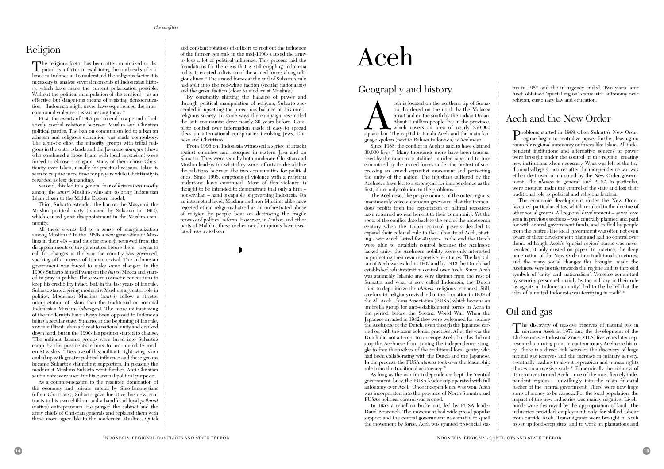## Geography and history

Fraction of Sumatra, bordered on the north by the Malacca Strait and on the south by the Indian Ocean.<br>About 4 million people live in the province, which covers an area of nearly 250,000 square km. The capital is Banda Ace tra, bordered on the north by the Malacca Strait and on the south by the Indian Ocean. About 4 million people live in the province, which covers an area of nearly 250,000 guage spoken (next to Bahasa Indonesia) is Acehnese.

The Acehnese, like people in most of the outer regions, unanimously voice a common grievance: that the tremendous profits from the exploitation of natural resources have returned no real benefit to their community. Yet the roots of the conflict date back to the end of the nineteenth century when the Dutch colonial powers decided to expand their colonial rule to the sultanate of Aceh, starting a war which lasted for 40 years. In the end the Dutch were able to establish control because the Acehnese lacked unity: the Acehnese nobility were only interested in protecting their own respective territories. The last sultan of Aceh was exiled in 1907 and by 1913 the Dutch had established administrative control over Aceh. Since Aceh was staunchly Islamic and very distinct from the rest of Sumatra and what is now called Indonesia, the Dutch tried to depoliticize the *ulamas* (religious teachers). Still, a reformist religious revival led to the formation in 1939 of the All-Aceh Ulama Association (PUSA) which became an umbrella group for anti-establishment forces in Aceh in the period before the Second World War. When the Japanese invaded in 1942 they were welcomed for ridding the Acehnese of the Dutch, even though the Japanese carried on with the same colonial practices. After the war the Dutch did not attempt to reoccupy Aceh, but this did not stop the Acehnese from joining the independence struggle to free themselves of the traditional local gentry who had been collaborating with the Dutch and the Japanese. In the process, the PUSA *ulamas* took over the leadership role from the traditional aristocracy.<sup>38</sup>

Since 1988, the conflict in Aceh is said to have claimed 30,000 lives.37 Many thousands more have been traumatized by the random brutalities, murder, rape and torture committed by the armed forces under the pretext of suppressing an armed separatist movement and protecting the unity of the nation. The injustices suffered by the Acehnese have led to a strong call for independence as the first, if not only solution to the problems.

Problems started in 1969 when Suharto's New Order<br>regime began to centralize power further, leaving no<br>many functional subsequence functilized and the leaving room for regional autonomy or forces like Islam. All independent institutions and alternative sources of power were brought under the control of the regime, creating new institutions when necessary. What was left of the traditional village structures after the independence war was either destroyed or co-opted by the New Order government. The *ulamas* in general, and PUSA in particular, were brought under the control of the state and lost their traditional role as political and religious leaders.

As long as the war for independence kept the 'central government' busy, the PUSA leadership operated with full autonomy over Aceh. Once independence was won, Aceh was incorporated into the province of North Sumatra and PUSA's political control was eroded.

The discovery of massive reserves of natural gas in<br>northern Aceh in 1971 and the development of the<br> $\frac{1}{2}$ Lhokseumawe Industrial Zone (ZILS) five years later represented a turning point in contemporary Acehnese history. There is a direct link between the discovery of huge natural gas reserves and the increase in military activity, eventually leading to all-out repression and human rights abuses on a massive scale.40 Paradoxically the richness of its resources turned Aceh – one of the most fiercely independent regions – unwillingly into the main financial backer of the central government. There were now huge sums of money to be earned. For the local population, the impact of the new industries was mainly negative. Livelihoods were destroyed by the appropriation of land. The industries provided employment only for skilled labour from outside Aceh. Transmigrants were brought to Aceh to set up food-crop sites, and to work on plantations and

In 1953 a rebellion broke out, led by PUSA leader Daud Beureueh. The movement had widespread popular support and the central government was unable to quell the movement by force. Aceh was granted provincial status in 1957 and the insurgency ended. Two years later Aceh obtained 'special region' status with autonomy over religion, customary law and education.

### Aceh and the New Order

The religious factor has been often minimized or dis-<br>puted as a factor in explaining the outbreaks of vio-<br>lengs in Indenseis. To understand the political factor it is lence in Indonesia. To understand the religious factor it is necessary to analyse several moments of Indonesian history, which have made the current polarization possible. Without the political manipulation of the tensions – as an effective but dangerous means of resisting democratization – Indonesia might never have experienced the intercommunal violence it is witnessing today.33

> The economic development under the New Order favoured particular elites, which resulted in the decline of other social groups. All regional development – as we have seen in previous sections – was centrally planned and paid for with central government funds, and staffed by people from the centre. The local government was often not even aware of these development plans and had no control over them. Although Aceh's 'special region' status was never revoked, it only existed on paper. In practice, the deep penetration of the New Order into traditional structures, and the many social changes this brought, made the Acehnese very hostile towards the regime and its imposed symbols of 'unity' and 'nationalism'. Violence committed by security personnel, mainly by the military, in their role 'as agents of Indonesian unity', led to the belief that the idea of 'a united Indonesia was terrifying in itself'. 39

As a counter-measure to the resented domination of the economy and private capital by Sino-Indonesians (often Christians), Suharto gave lucrative business contracts to his own children and a handful of loyal *pribumi* (native) entrepreneurs. He purged the cabinet and the army chiefs of Christian generals and replaced them with those more agreeable to the modernist Muslims. Quick

## Oil and gas

## Religion

First, the events of 1965 put an end to a period of relatively cordial relations between Muslim and Christian political parties. The ban on communism led to a ban on atheism and religious education was made compulsory. The agnostic elite, the minority groups with tribal religions in the outer islands and the Javanese *abangan* (those who combined a loose Islam with local mysticism) were forced to choose a religion. Many of them chose Christianity over Islam, usually for practical reasons: Islam is seen to require more time for prayers while Christianity is regarded as less demanding.

Second, this led to a general fear of *kristenisasi* mostly among the *santri* Muslims, who aim to bring Indonesian Islam closer to the Middle Eastern model.

Third, Suharto extended the ban on the Masyumi, the Muslim political party (banned by Sukarno in 1962), which caused great disappointment in the Muslim community.

All these events led to a sense of marginalization among Muslims.<sup>34</sup> In the 1980s a new generation of Muslims in their 40s – and thus far enough removed from the disappointments of the generation before them – began to call for changes in the way the country was governed, sparking off a process of Islamic revival. The Indonesian government was forced to make some changes. In the 1990s Suharto himself went on the *haj* to Mecca and started to pray in public. These were cosmetic concessions to keep his credibility intact, but, in the last years of his rule, Suharto started giving modernist Muslims a greater role in politics. Modernist Muslims (*santri*) follow a stricter interpretation of Islam than the traditional or nominal Indonesian Muslims (*abangan*). The more militant wing of the modernists have always been opposed to Indonesia being a secular state. Suharto, at the beginning of his rule, saw in militant Islam a threat to national unity and cracked down hard, but in the 1990s his position started to change. 'The militant Islamic groups were lured into Suharto's camp by the president's efforts to accommodate modernist wishes.' <sup>35</sup> Because of this, militant, right-wing Islam ended up with greater political influence and these groups became Suharto's staunchest supporters. In pleasing the modernist Muslims Suharto went further. Anti-Christian sentiments were used for his personal political purposes.

and constant rotations of officers to root out the influence of the former generals in the mid-1990s caused the army to lose a lot of political influence. This process laid the foundations for the crisis that is still crippling Indonesia today. It created a division of the armed forces along religious lines.36 The armed forces at the end of Suharto's rule had split into the red-white faction (secular nationalists) and the green faction (close to modernist Muslims).

By constantly shifting the balance of power and through political manipulation of religion, Suharto succeeded in upsetting the precarious balance of this multireligious society. In some ways the campaign resembled the anti-communist drive nearly 30 years before. Complete control over information made it easy to spread ideas on international conspiracies involving Jews, Chinese and Christians.

From 1996 on, Indonesia witnessed a series of attacks against churches and mosques in eastern Java and on Sumatra. They were seen by both moderate Christian and Muslim leaders for what they were: efforts to destabilize the relations between the two communities for political ends. Since 1998, eruptions of violence with a religious undertone have continued. Most of this violence is thought to be intended to demonstrate that only a firm – non-civilian – hand is capable of governing Indonesia. On an intellectual level, Muslims and non-Muslims alike have rejected ethno-religious hatred as an orchestrated abuse of religion by people bent on destroying the fragile process of political reform. However, in Ambon and other parts of Maluku, these orchestrated eruptions have escalated into a civil war.

◗

## Aceh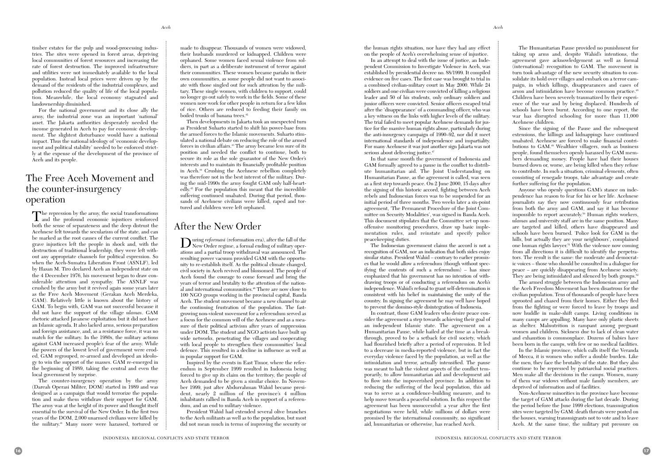the human rights situation, nor have they had any effect on the people of Aceh's overwhelming sense of injustice.

In an attempt to deal with the issue of justice, an Independent Commission to Investigate Violence in Aceh, was established by presidential decree no. 88/1999. It compiled evidence on five cases. The first case was brought to trial in a combined civilian-military court in May 2000. While 24 soldiers and one civilian were convicted of killing a religious leader and 50 of his students, only ordinary soldiers and junior officers were convicted. Senior officers escaped trial after the 'disappearance' of a commanding officer, who was a key witness on the links with higher levels of the military. The trial failed to meet popular Acehnese demands for justice for the massive human rights abuse, particularly during the anti-insurgency campaign of 1990–92, nor did it meet international standards of independence and impartiality. For many Acehnese it was just another sign Jakarta was not serious about delivering justice.<sup>47</sup>

In that same month the government of Indonesia and GAM formally agreed to a pause in the conflict to distribute humanitarian aid. The Joint Understanding on Humanitarian Pause, as the agreement is called, was seen as a first step towards peace. On 2 June 2000, 15 days after the signing of this historic accord, fighting between Aceh rebels and Indonesian forces was to be suspended for an initial period of three months. Two weeks later a six-point agreement, 'The Permanent Procedure of the Joint Committee on Security Modalities', was signed in Banda Aceh. This document stipulates that the Committee set up nonoffensive monitoring procedures, draw up basic implementation rules, and reinstate and specify police peacekeeping duties.

The Indonesian government claims the accord is not a recognition of GAM, nor an indication that both sides enjoy similar status. President Wahid – contrary to earlier promises that he would allow a referendum (though without specifying the contents of such a referendum) – has since emphasized that his government has no intention of withdrawing troops or of conducting a referendum on Aceh's independence. Wahid's refusal to grant self-determination is consistent with his belief in maintaining the unity of the country. In signing the agreement he may well have hoped to prevent the domino-style disintegration of Indonesia.

Anyone who openly questions GAM's stance on independence has reason to fear for his or her life. Acehnese journalists say they now continuously fear retribution from both the army and GAM, and say it has become impossible to report accurately.50 Human rights workers, *ulamas* and university staff are in the same position. Many are targeted and killed, others have disappeared and schools have been burned. 'Police look for GAM in the hills, but actually they are your neighbours', complained one human rights lawyer.51 With the violence now coming from all directions it is difficult to identify the perpetrators. The result is the same: the moderate and democratic voices – those who should be consulted in a dialogue for peace – are quickly disappearing from Acehnese society. They are being intimidated and silenced by both groups.<sup>52</sup>

In contrast, those GAM leaders who desire peace consider the agreement a step towards achieving their goal of an independent Islamic state. The agreement on a Humanitarian Pause, while hailed at the time as a breakthrough, proved to be a setback for civil society, which had flourished briefly after a period of repression. It led to a decrease in media-reported violence, but in fact the everyday violence faced by the population, as well as the intimidation and terror, actually intensified. The pause was meant to halt the violent aspects of the conflict temporarily, to allow humanitarian aid and development aid to flow into the impoverished province. In addition to reducing the suffering of the local population, this aid was to serve as a confidence-building measure, and to help move towards a peaceful solution. In this respect the agreement has been unsuccessful: a year after the first negotiations were held, while millions of dollars were promised by the international community, no significant aid, humanitarian or otherwise, has reached Aceh.

The Humanitarian Pause provided no punishment for taking up arms and, despite Wahid's intentions, the agreement gave acknowledgement as well as formal (international) recognition to GAM. The movement in turn took advantage of the new security situation to consolidate its hold over villages and embark on a terror campaign, in which killings, disappearances and cases of arson and intimidation have become common practice.<sup>48</sup> Children have been severely traumatized by their experience of the war and by being displaced. Hundreds of schools have been burnt. According to one report, the war has disrupted schooling for more than 11,000 Acehnese children.

Since the signing of the Pause and the subsequent extensions, the killings and kidnappings have continued unabated. Acehnese are forced to make financial contributions to GAM.49 Wealthier villagers, such as business people, found themselves openly harassed by GAM members demanding money. People have had their houses burned down or, worse, are being killed when they refuse to contribute. In such a situation, criminal elements, often consisting of renegade troops, take advantage and create further suffering for the population.

made to disappear. Thousands of women were widowed, their husbands murdered or kidnapped. Children were orphaned. Some women faced sexual violence from soldiers, in part as a deliberate instrument of terror against their communities. These women became pariahs in their own communities, as some people did not want to associate with those singled out for such attention by the military. These single women, with children to support, could no longer go out safely to work in the fields. Some of these women now work for other people in return for a few kilos of rice. Others are reduced to feeding their family on boiled trunks of banana trees.<sup>42</sup>

> The armed struggle between the Indonesian army and the Aceh Freedom Movement has been disastrous for the civilian population. Tens of thousands of people have been uprooted and chased from their homes. Either they fled from the fighting or were forced to leave by troops and now huddle in make-shift camps. Living conditions in many camps are appalling. Many have only plastic sheets as shelter. Malnutrition is rampant among pregnant women and children. Sickness due to lack of clean water and exhaustion is commonplace. Dozens of babies have been born in the camps, with few or no medical facilities.

During *reformasi* (reformation era), after the fall of the<br>New Order regime, a formal ending of military oper-<br>tions and a position term with drawn are consumed. The ations and a partial troop withdrawal was announced. The resulting power vacuum provided GAM with the opportunity to re-establish itself. As the political climate changed, civil society in Aceh revived and blossomed. The people of Aceh found the courage to come forward and bring the years of terror and brutality to the attention of the national and international communities.46 There are now close to 100 NGO groups working in the provincial capital, Banda Aceh. The student movement became a new channel to air the continuing frustration of the population. The fastgrowing non-violent movement for a referendum served as a focus for the common will of the Acehnese and as a measure of their political activism after years of suppression under DOM. The student and NGO activists have built up wide networks, penetrating the villages and cooperating with local people to strengthen their communities' local defence. This resulted in a decline in influence as well as in popular support for GAM.

In the Islamic province, which calls itself the Veranda of Mecca, it is women who suffer a double burden. Like the men, they face the brutality of the state. But they also continue to be repressed by patriarchal social practices. Men make all the decisions in the camps. Women, many of them war widows without male family members, are deprived of information and of facilities.

Non-Acehnese minorities in the province have become the target of GAM attacks during the last decade. During the period before the June 1999 elections, transmigration sites were targeted by GAM: death threats were posted on the houses, warning transmigrants not to vote and to leave Aceh. At the same time, the military put pressure on

timber estates for the pulp and wood-processing industries. The sites were opened in forest areas, depriving local communities of forest resources and increasing the rate of forest destruction. The improved infrastructure and utilities were not immediately available to the local population. Instead local prices were driven up by the demand of the residents of the industrial complexes, and pollution reduced the quality of life of the local population. Meanwhile, the local economy stagnated and landownership diminished.

For the national government and its close ally the army, the industrial zone was an important 'national' asset. The Jakarta authorities desperately needed the income generated in Aceh to pay for economic development. The slightest disturbance would have a national impact. Thus the national ideology of 'economic development and political stability' needed to be enforced strictly at the expense of the development of the province of Aceh and its people.

### The Free Aceh Movement and the counter-insurgency operation

The repression by the army, the social transformations<br>and the profound economic injustices reinforced<br>bath the proper of approximations and the data distinct the both the sense of separateness and the deep distrust the Acehnese felt towards the secularism of the state, and can be marked as the root causes of the current conflict. The grave injustices left the people in shock and, with the destruction of traditional leadership, they were left without any appropriate channels for political expression. So when the Aceh-Sumatra Liberation Front (ASNLF), led by Hasan M. Tiro declared Aceh an independent state on the 4 December 1976, his movement began to draw considerable attention and sympathy. The ASNLF was crushed by the army but it revived again some years later as the Free Aceh Movement (Gerakan Aceh Merdeka, GAM). Relatively little is known about the history of GAM. To begin with, GAM was not successful because it did not have the support of the village *ulamas*. GAM rhetoric attacked Javanese exploitation but it did not have an Islamic agenda. It also lacked arms, serious preparation and foreign assistance, and, as a resistance force, it was no match for the military. In the 1980s, the military actions against GAM increased people's fear of the army. While the powers of the lowest level of government were eroded, GAM regrouped, re-armed and developed an ideology to win the support of the masses. GAM re-emerged in the beginning of 1989, taking the central and even the local government by surprise.

The counter-insurgency operation by the army (Dareah Operasi Militer, DOM) started in 1989 and was designed as a campaign that would terrorize the population and make them withdraw their support for GAM. The army was at the height of its power and thought itself essential to the survival of the New Order. In the first two years of the DOM, 2,000 unarmed civilians were killed by the military.41 Many more were harassed, tortured or

Then developments in Jakarta took an unexpected turn as President Suharto started to shift his power-base from the armed forces to the Islamic movements. Suharto stimulated a national debate on reducing the role of the armed forces in civilian affairs.43 The army became less sure of its position and needed the conflict to continue, both to secure its role as the sole guarantor of the New Order's interests and to maintain its financially profitable position in Aceh.44 Crushing the Acehnese rebellion completely was therefore not in the best interest of the military. During the mid-1990s the army fought GAM only half-heartedly.45 For the population this meant that the incredible suffering continued unabated. During that period, thousands of Acehnese civilians were killed, raped and tortured and children were left orphaned.

### After the New Order

Inspired by the events in East Timor, where the referendum in September 1999 resulted in Indonesia being forced to give up its claim on the territory, the people of Aceh demanded to be given a similar choice. In November 1999, just after Abdurrahman Wahid became president, nearly 2 million of the province's 4 million inhabitants rallied in Banda Aceh in support of a referendum, and an end to military violence.

President Wahid had extended several olive branches to the Aceh militants as well as to the population, but most did not mean much in terms of improving the security or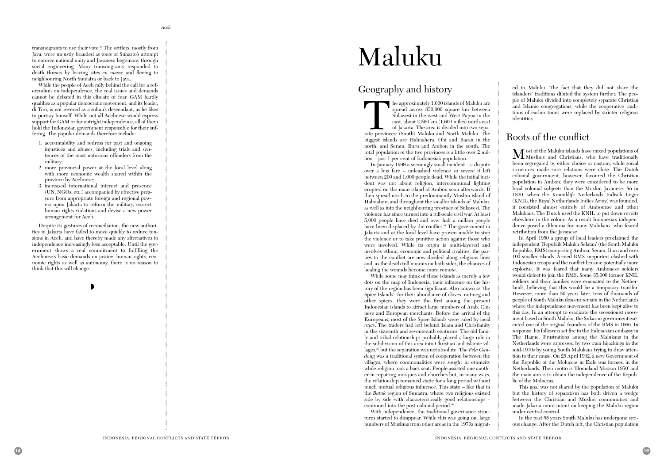spread across 850,000 square km between Sulawesi in the west and West Papua in the east, about 2,560 km (1,600 miles) north-east of Jakarta. The area is divided into two separate provinces: (South) Maluku and North Maluku. The biggest islands are Halmahera, Obi and Bacan in the north, and Seram, Buru and Ambon in the south. The total population of the two provinces is a little over 2 mil-

While some may think of these islands as merely a few dots on the map of Indonesia, their in fluence on the history of the region has been significant. Also known as 'the Spice Islands ', for their abundance of cloves, nutmeg and other spices, they were the first among the present Indonesian islands to attract large numbers of Arab, Chinese and European merchants. Before the arrival of the Europeans, most of the Spice Islands were ruled by local *rajas*. The traders had left behind Islam and Christianity in the sixteenth and seventeenth centuries. The old family and tribal relationships probably played a large role in the subdivision of this area into Christian and Islamic villages,<sup>55</sup> but the separation was not absolute. The *Pela Gandong* was a traditional system of cooperation between the villages, where commonalities were sought in ethnicity while religion took a back seat. People assisted one another in repairing mosques and churches but, in many ways, the relationship remained static for a long period without much mutual religious in fluence. This state – like that in the *Batak* region of Sumatra, where two religions existed side by side with characteristically good relationships – continued into the post-colonial period.<sup>56</sup>

lion – just 1 per cent of Indonesia's population. In January 1999 a seemingly small incident – a dispute over a bus fare – unleashed violence so severe it left between 200 and 1,000 people dead. While the initial incident was not about religion, intercommunal fighting erupted on the main island of Ambon soon afterwards. It then spread north to the predominantly Muslim island of Halmahera and throughout the smaller islands of Maluku, as well as into the neighbouring province of Sulawesi. The violence has since turned into a full-scale civil war. At least 5,000 people have died and over half a million people have been displaced by the con flict.54 The government in Jakarta and at the local level have proven unable to stop the violence or to take punitive action against those who were involved. While its origin is multi-layered and involves ethnic, economic and political rivalries, the parties to the conflict are now divided along religious lines and, as the death toll mounts on both sides, the chances of healing the wounds become more remote.

With independence, the traditional governance structures started to disappear. While this was going on, large numbers of Muslims from other areas in the 1970s migrat-

**M** ost of the Maluku islands have mixed populations of Muslims and Christians, who have traditionally been segregated by either choice or custom, while social structures made sure relations were close. The Dutch colonial government, however, favoured the Christian population in Ambon; they were considered to be more loyal colonial subjects than the Muslim Javanese. So in 1830, when the Koninklijk Nederlands Indisch Leger (KNIL, the Royal Netherlands Indies Army) was founded, it consisted almost entirely of Ambonese and other Malukans. The Dutch used the KNIL to put down revolts elsewhere in the colony. As a result Indonesia 's independence posed a dilemma for many Malukans, who feared retribution from the Javanese.

transmigrants to use their vote.<sup>53</sup> The settlers, mostly from Java, were unjustly branded as tools of Suharto 's attempt to enforce national unity and Javanese hegemony through social engineering. Many transmigrants responded to death threats by leaving sites *en masse* and fleeing to neighbouring North Sumatra or back to Java.

> ed to Maluku. The fact that they did not share the islanders ' traditions diluted the system further. The people of Maluku divided into completely separate Christian and Islamic congregations, while the cooperative traditions of earlier times were replaced by stricter religious identities.

### Roots of the con flict

In April 1950 a group of local leaders proclaimed the independent 'Republik Maluku Selatan ' (the South Maluku Republic, RMS) comprising Ambon, Seram, Buru and over 100 smaller islands. Armed RMS supporters clashed with Indonesian troops and the con flict became potentially more explosive. It was feared that many Ambonese soldiers would defect to join the RMS. Some 35,000 former KNIL soldiers and their families were evacuated to the Netherlands, believing that this would be a temporary transfer. However, more than 50 years later, tens of thousands of people of South Maluku descent remain in the Netherlands where the independence movement has been kept alive to this day. In an attempt to eradicate the secessionist movement based in South Maluku, the Sukarno government executed one of the original founders of the RMS in 1966. In response, his followers set fire to the Indonesian embassy in The Hague. Frustrations among the Malukans in the Netherlands were expressed by two train hijackings in the mid-1970s by young South Malukans trying to draw attention to their cause. On 25 April 1992, a new Government of the Republic of the Moluccas in Exile was formed in the Netherlands. Their motto is 'Homeland Mission 1950 ' and the main aim is to obtain the independence of the Republic of the Moluccas.

This goal was not shared by the population of Maluku but the history of separatism has both driven a wedge between the Christian and Muslim communities and made Jakarta more intent on keeping the Maluku region under central control.

In the past 55 years South Maluku has undergone serious change. After the Dutch left, the Christian population

While the people of Aceh rally behind the call for a referendum on independence, the real issues and demands cannot be debated in this climate of fear. GAM hardly quali fies as a popular democratic movement, and its leader, di Tiro, is not revered as a sultan 's descendant, as he likes to portray himself. While not all Acehnese would express support for GAM or for outright independence, all of them hold the Indonesian government responsible for their suffering. The popular demands therefore include:

- 1. accountability and redress for past and ongoing injustices and abuses, including trials and sentences of the most notorious offenders from the military;
- 2. more provincial power at the local level along with more economic wealth shared within the province by Acehnese;
- 3. increased international interest and presence (UN, NGOs, etc.) accompanied by effective pressure from appropriate foreign and regional powers upon Jakarta to reform the military, correct human rights violations and devise a new power arrangement for Aceh.

Despite its gestures of reconciliation, the new authorities in Jakarta have failed to move quickly to reduce tensions in Aceh, and have thereby made any alternatives to independence increasingly less acceptable. Until the government shows a real commitment to fulfilling the Acehnese 's basic demands on justice, human rights, economic rights as well as autonomy, there is no reason to think that this will change.

◗

# Maluku

## Geography and history<br>he approximately 1,000 islands of Maluku are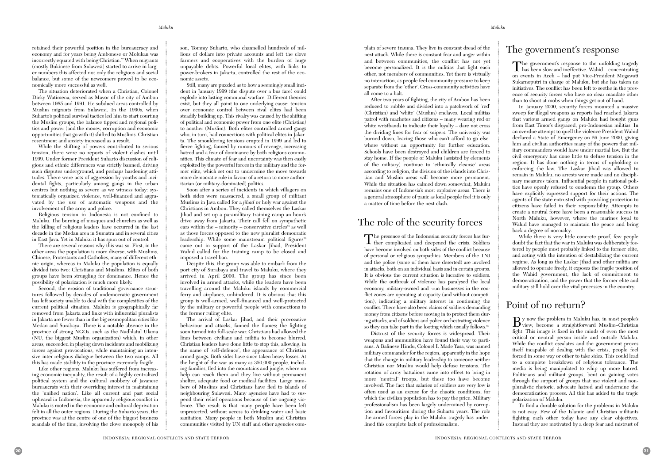plain of severe trauma. They live in constant dread of the next attack. While there is constant fear and anger within and between communities, the conflict has not yet become personalized. It is the militias that fight each other, not members of communities. Yet there is virtually no interaction, as people feel community pressure to keep separate from the 'other'. Cross-community activities have all come to a halt.

After two years of fighting, the city of Ambon has been reduced to rubble and divided into a patchwork of 'red' (Christian) and 'white' (Muslim) enclaves. Local militias patrol with machetes and citizens – many wearing red or white wristbands to indicate their loyalty – dare not cross the dividing lines for fear of snipers. The university was burned down, leaving those who can't afford to go elsewhere without an opportunity for further education. Schools have been destroyed and children are forced to stay home. If the people of Maluku (assisted by elements of the military) continue to 'ethnically cleanse' areas according to religion, the division of the islands into Christian and Muslim areas will become more permanent. While the situation has calmed down somewhat, Maluku remains one of Indonesia's most explosive areas. There is a general atmosphere of panic as local people feel it is only a matter of time before the next clash.

## The role of the security forces

The presence of the Indonesian security forces has fur-<br>ther complicated and deepened the crisis. Soldiers have become involved on both sides of the conflict because of personal or religious sympathies. Members of the TNI and the police (some of them have deserted) are involved in attacks, both on an individual basis and in certain groups. It is obvious the current situation is lucrative to soldiers. While the outbreak of violence has paralysed the local economy, military-owned and -run businesses in the conflict zones are operating at capacity (and without competition), indicating a military interest in continuing the conflict. There have also been claims of soldiers demanding money from citizens before moving in to protect them during attacks, and of soldiers and police orchestrating violence so they can take part in the looting which usually follows.<sup>60</sup>

The government's response to the unfolding tragedy<br>has been slow and ineffective. Wahid – concentrating on events in Aceh – had put Vice-President Megawati Sukarnoputri in charge of Maluku, but she has taken no initiatives. The conflict has been left to seethe in the presence of security forces who have no clear mandate other than to shoot at mobs when things get out of hand.

In January 2000, security forces mounted a massive sweep for illegal weapons as reports had reached Jakarta that various armed gangs on Maluku had bought guns from East Timor's disgraced, pro-Indonesian militias. In an overdue attempt to quell the violence President Wahid declared a State of Emergency on 26 June 2000, giving him and civilian authorities many of the powers that military commanders would have under martial law. But the civil emergency has done little to defuse tension in the region. It has done nothing in terms of upholding or enforcing the law. The Laskar Jihad was allowed to remain in Maluku, no arrests were made and no disciplinary measures taken. Influential people in national politics have openly refused to condemn the group. Others have explicitly expressed support for their actions. The agents of the state entrusted with providing protection to citizens have failed in their responsibility. Attempts to create a neutral force have been a reasonable success in North Maluku, however, where the marines loyal to Wahid have managed to maintain the peace and bring back a degree of normalcy.

Distrust of the security forces is widespread. Their weapons and ammunition have found their way to partisans. A Balinese Hindu, Colonel I. Made Yasa, was named military commander for the region, apparently in the hope that the change in military leadership to someone neither Christian nor Muslim would help defuse tensions. The rotation of army battalions came into effect to bring in more 'neutral' troops, but these too have become involved. The fact that salaries of soldiers are very low is often used as an excuse for the chaotic conditions, for which the civilian population has to pay the price. Military professionalism has been largely undermined by corruption and favouritism during the Suharto years. The role the armed forces play in the Maluku tragedy has underlined this complete lack of professionalism.

 $\mathbf{B}$ y now the problem in Maluku has, in most people's<br>California is final in the minds of sum the meet fight. This image is fixed in the minds of even the most critical or neutral person inside and outside Maluku. While the conflict escalates and the government proves itself incapable of dealing with the crisis, people feel forced in some way or other to take sides. This could lead to a complete breakdown of religious tolerance. The media is being manipulated to whip up more hatred. Politicians and militant groups, bent on gaining votes through the support of groups that use violent and nonpluralistic rhetoric, advocate hatred and undermine the democratization process. All this has added to the tragic polarization of Maluku.

#### The government's response

Second, the erosion of traditional governance structures followed by decades of undemocratic government has left society unable to deal with the complexities of the current political situation. Maluku is geographically far removed from Jakarta and links with influential pluralists in Jakarta are fewer than in the big cosmopolitan cities like Medan and Surabaya. There is a notable absence in the province of strong NGOs, such as the Nadhlatul Ulama (NU, the biggest Muslim organization) which, in other areas, succeeded in playing down incidents and mobilizing forces against provocations, while maintaining an intensive inter-religious dialogue between the two camps. All this has made stability in the province extremely fragile.

Like other regions, Maluku has suffered from increasing economic inequality, the result of a highly centralized political system and the cultural snobbery of Javanese bureaucrats with their overriding interest in maintaining the 'unified nation'. Like all current and past social upheaval in Indonesia, the apparently religious conflict in Maluku is rooted in the economic and cultural deprivation felt in all the outer regions. During the Suharto years, the province was at the centre of one of the biggest business scandals of the time, involving the clove monopoly of his

While there is very little concrete proof, few people doubt the fact that the war in Maluku was deliberately fostered by people most probably linked to the former elite, and acting with the intention of destabilizing the current regime. As long as the Laskar Jihad and other militia are allowed to operate freely, it exposes the fragile position of the Wahid government, the lack of commitment to democratization, and the power that the former elite and military still hold over the vital processes in the country.

#### Point of no return?

To find a durable solution for the problems in Maluku is not easy. Few of the Islamic and Christian militants fighting each other today have any clear objectives. Instead they are motivated by a deep fear and mistrust of

**21**

retained their powerful position in the bureaucracy and economy and for years being Ambonese or Molukan was incorrectly equated with being Christian.<sup>57</sup> When migrants (mostly Bukinese from Sulawesi) started to arrive in larger numbers this affected not only the religious and social balance, but some of the newcomers proved to be economically more successful as well.

The situation deteriorated when a Christian, Colonel Dicky Watimena, served as Mayor of the city of Ambon between 1985 and 1991. He subdued areas controlled by Muslim migrants from Sulawesi. In the 1990s, when Suharto's political survival tactics led him to start courting the Muslim groups, the balance tipped and regional politics and power (and the money, corruption and economic opportunities that go with it) shifted to Muslims. Christian resentment and anxiety increased as a result.

While the shifting of powers contributed to serious tension, there were no reports of violent clashes until 1999. Under former President Suharto discussion of religious and ethnic differences was strictly banned, driving such disputes underground, and perhaps hardening attitudes. There were acts of aggression by youths and incidental fights, particularly among gangs in the urban centres but nothing as severe as we witness today: systematically organized violence, well-financed and aggravated by the use of automatic weapons and the involvement of the army and police.

Religious tension in Indonesia is not confined to Maluku. The burning of mosques and churches as well as the killing of religious leaders have occurred in the last decade in the Medan area in Sumatra and in several cities in East Java. Yet in Maluku it has spun out of control.

There are several reasons why this was so. First, in the other areas the population is more diverse, with Muslims, Chinese, Protestants and Catholics, many of different ethnic origin, whereas in Maluku the population is equally divided into two: Christians and Muslims. Elites of both groups have been struggling for dominance. Hence the possibility of polarization is much more likely.

son, Tommy Suharto, who channelled hundreds of millions of dollars into private accounts and left the clove farmers and cooperatives with the burden of huge unpayable debts. Powerful local elites, with links to power-brokers in Jakarta, controlled the rest of the economic assets.

Still, many are puzzled as to how a seemingly small incident in January 1999 (the dispute over a bus fare) could explode into lasting communal warfare. Different theories exist, but they all point to one underlying cause: tension over economic control between rival elites had been steadily building up. This rivalry was caused by the shifting of political and economic power from one elite (Christian) to another (Muslim). Both elites controlled armed gangs who, in turn, had connections with political elites in Jakarta. The smouldering tensions erupted in 1999 and led to fierce fighting, fanned by rumours of revenge, increasing hatred and a fear of dominance by both religious communities. This climate of fear and uncertainty was then easily exploited by the powerful forces in the military and the former elite, which set out to undermine the move towards more democratic rule in favour of a return to more authoritarian (or military-dominated) politics.

Soon after a series of incidents in which villagers on both sides were massacred, a small group of militant Muslims in Java called for a *jihad* or holy war against the Christians in Ambon. They called themselves the Laskar Jihad and set up a paramilitary training camp an hour's drive away from Jakarta. Their call fell on sympathetic ears within the – minority – conservative circles<sup> $5\overline{8}$ </sup> as well as those forces opposed to the new pluralist democratic leadership. While some mainstream political figures<sup>59</sup> came out in support of the Laskar Jihad, President Wahid called for the training camp to be closed and imposed a travel ban.

Despite this, the group was able to embark from the port city of Surabaya and travel to Maluku, where they arrived in April 2000. The group has since been involved in armed attacks, while the leaders have been travelling around the Maluku islands by commercial ferry and airplanes, unhindered. It is obvious that this group is well-armed, well-financed and well-protected by the military or powerful people with connections to the former ruling elite.

The arrival of Laskar Jihad, and their provocative behaviour and attacks, fanned the flames; the fighting soon turned into full-scale war. Christians had allowed the lines between civilians and militia to become blurred. Christian leaders have done little to stop this, allowing, in the name of 'self-defence', the appearance of Christian armed gangs. Both sides have since taken heavy losses. At the height of the war as many as 350,000 people, including families, fled into the mountains and jungle, where no help can reach them and they live without permanent shelter, adequate food or medical facilities. Large numbers of Muslims and Christians have fled to islands of neighbouring Sulawesi. Many agencies have had to suspend their relief operations because of the ongoing violence. The result is that many people have been left unprotected, without access to drinking water and basic sanitation. Many people in both Muslim and Christian communities visited by UN staff and other agencies com-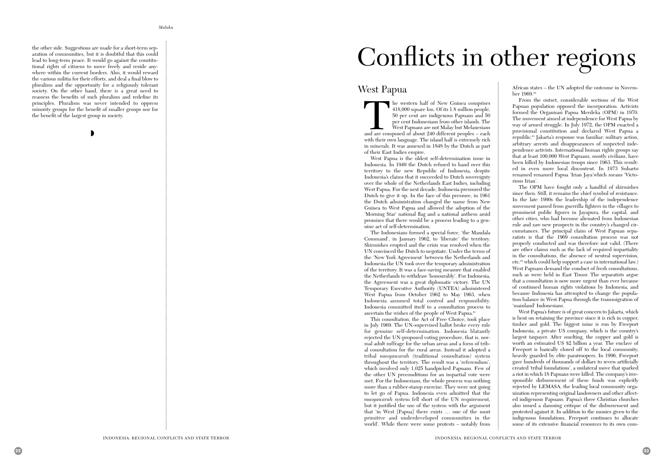#### West Papua

Frank and Frank and Frank and S0 per cent are indigenous Papuans and 50<br>
Frank are indigenous Papuans and 50<br>
per cent Indonesians from other islands. The<br>
West Papuans are not Malay but Melanesians<br>
and are composed of ab 418,000 square km. Of its 1.8 million people, 50 per cent are indigenous Papuans and 50 per cent Indonesians from other islands. The West Papuans are not Malay but Melanesians

with their own language. The island half is extremely rich in minerals. It was annexed in 1848 by the Dutch as part of their East Indies empire.

The Indonesians formed a special force, 'the Mandala Command ', in January 1962, to 'liberate ' the territory. Skirmishes erupted and the crisis was resolved when the UN convinced the Dutch to negotiate. Under the terms of the 'New York Agreement ' between the Netherlands and Indonesia the UN took over the temporary administration of the territory. It was a face-saving measure that enabled the Netherlands to withdraw 'honourably '. For Indonesia, the Agreement was a great diplomatic victory. The UN Temporary Executive Authority (UNTEA) administered West Papua from October 1962 to May 1963, when Indonesia assumed total control and responsibility. Indonesia committed itself to a consultation process to ascertain the wishes of the people of West Papua.<sup>61</sup>

West Papua is the oldest self-determination issue in Indonesia. In 1949 the Dutch refused to hand over this territory to the new Republic of Indonesia, despite Indonesia 's claims that it succeeded to Dutch sovereignty over the whole of the Netherlands East Indies, including West Papua. For the next decade, Indonesia pressured the Dutch to give it up. In the face of this pressure, in 1961 the Dutch administration changed the name from New Guinea to West Papua and allowed the adoption of the 'Morning Star' national flag and a national anthem amid promises that there would be a process leading to a genuine act of self-determination.

This consultation, the Act of Free Choice, took place in July 1969. The UN-supervised ballot broke every rule for genuine self-determination. Indonesia blatantly rejected the UN-proposed voting procedure, that is, normal adult suffrage for the urban areas and a form of tribal consultation for the rural areas. Instead it adopted a tribal *musyawarah* (traditional consultation) system throughout the territory. The result was a 'referendum ' , which involved only 1,025 handpicked Papuans. Few of the other UN preconditions for an impartial vote were met. For the Indonesians, the whole process was nothing more than a rubber-stamp exercise. They were not going to let go of Papua. Indonesia even admitted that the *musyawarah* system fell short of the UN requirement, but it justi fied the use of the system with the argument that 'in West [Papua] there exists … one of the most primitive and underdeveloped communities in the world '. While there were some protests – notably from

African states – the UN adopted the outcome in November 1969.62

From the outset, considerable sections of the West Papuan population opposed the incorporation. Activists formed the Organisasi Papua Merdeka (OPM) in 1970. The movement aimed at independence for West Papua by way of armed struggle. In July 1972, the OPM enacted a provisional constitution and declared West Papua a republic.63 Jakarta 's response was familiar: military action, arbitrary arrests and disappearances of suspected independence activists. International human rights groups say that at least 100,000 West Papuans, mostly civilians, have been killed by Indonesian troops since 1963. This resulted in even more local discontent. In 1973 Suharto renamed renamed Papua 'Irian Jaya'which means 'Victorious Irian'.

The OPM have fought only a handful of skirmishes since then. Still, it remains the chief symbol of resistance. In the late 1990s the leadership of the independence movement passed from guerrilla fighters in the villages to prominent public figures in Jayapura, the capital, and other cities, who had become alienated from Indonesian rule and saw new prospects in the country 's changed circumstances. The principal claim of West Papuan separatists is that the 1969 consultation process was not properly conducted and was therefore not valid. (There are other claims such as the lack of required impartiality in the consultations, the absence of neutral supervision, etc.64 which could help support a case in international law.) West Papuans demand the conduct of fresh consultations, such as were held in East Timor. The separatists argue that a consultation is now more urgent than ever because of continued human rights violations by Indonesia, and because Indonesia has attempted to change the population balance in West Papua through the transmigration of 'mainland' Indonesians.

West Papua 's future is of great concern to Jakarta, which is bent on retaining the province since it is rich in copper, timber and gold. The biggest mine is run by Freeport Indonesia, a private US company, which is the country 's largest taxpayer. After smelting, the copper and gold is worth an estimated US \$2 billion a year. The enclave of Freeport is basically closed off to the local community, heavily guarded by elite paratroopers. In 1996, Freeport gave hundreds of thousands of dollars to seven arti ficially created 'tribal foundations ', a unilateral move that sparked a riot in which 18 Papuans were killed. The company 's irresponsible disbursement of these funds was explicitly rejected by LEMASA, the leading local community organization representing original landowners and other affected indigenous Papuans. Papua's three Christian churches also issued a damning critique of the disbursement and protested against it. In addition to the monies given to the indigenous foundations, Freeport continues to allocate some of its extensive financial resources to its own com-

the other side. Suggestions are made for a short-term separation of communities, but it is doubtful that this could lead to long-term peace. It would go against the constitutional rights of citizens to move freely and reside anywhere within the current borders. Also, it would reward the various militia for their efforts, and deal a final blow to pluralism and the opportunity for a religiously tolerant society. On the other hand, there is a great need to reassess the bene fits of such pluralism and rede fine its principles. Pluralism was never intended to oppress minority groups for the bene fit of smaller groups nor for the bene fit of the largest group in society.

◗

# Con flicts in other regions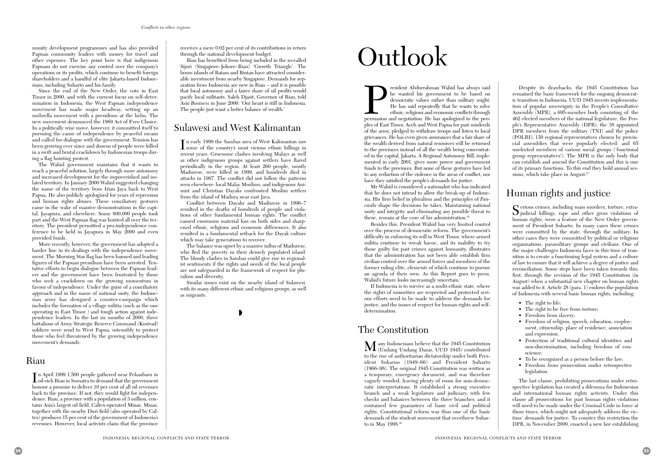**President Abdurrahman Wahid has always said he wanted his government to be based on democratic values rather than military might.** He has said repeatedly that he wants to solve ethnic, religious and economic conflicts thr he wanted his government to be based on democratic values rather than military might. He has said repeatedly that he wants to solve ethnic, religious and economic conflicts through ples of East Timor, Aceh and West Papua for past misdeeds of the army, pledged to withdraw troops and listen to local grievances. He has even given assurances that a fair share of the wealth derived from natural resources will be returned to the provinces instead of all the wealth being concentrated in the capital, Jakarta. A Regional Autonomy Bill, implemented in early 2001, gives more power and government funds to the provinces. But none of these gestures have led to any reduction of the violence in the areas of conflict, nor have they satisfied the people's demands for justice.

Mr Wahid is considered a nationalist who has indicated that he does not intend to allow the break-up of Indonesia. His firm belief in pluralism and the principles of *Pancasila* shape the decisions he takes. Maintaining national unity and integrity and eliminating any possible threat to these, remain at the core of his administration.<sup>65</sup>

Besides this, President Wahid has very limited control over the process of democratic reform. The government's difficulty in enforcing its will in West Timor, where armed militia continue to wreak havoc, and its inability to try those guilty for past crimes against humanity, illustrates that the administration has not been able establish firm civilian control over the armed forces and members of the former ruling elite, elements of which continue to pursue an agenda of their own. As this Report goes to press, Wahid's future looks increasingly uncertain.

Many Indonesians believe that the 1945 Constitution (Undang Undang Dasar, UUD 1945) contributed to the rise of authoritarian dictatorship under both President Sukarno (1949–66) and President Suharto (1966–98). The original 1945 Constitution was written as a temporary, emergency document, and was therefore vaguely worded, leaving plenty of room for non-democratic interpretations. It established a strong executive branch and a weak legislature and judiciary, with few checks and balances between the three branches; and it contained few guarantees of basic civil and political rights. Constitutional reform was thus one of the basic demands of the student movement that overthrew Suharto in May 1998.<sup>66</sup>

Despite its drawbacks, the 1945 Constitution has remained the basic framework for the ongoing democratic transition in Indonesia. UUD 1945 invests implementation of popular sovereignty in the People's Consultative Assembly (MPR), a 695-member body consisting of: the 462 elected members of the national legislature, the People's Representative Assembly (DPR); the 38 appointed DPR members from the military (TNI) and the police (POLRI); 130 regional representatives chosen by provincial assemblies that were popularly elected; and 65 unelected members of various social groups ('functional group representatives'). The MPR is the only body that can establish and amend the Constitution and this is one of its primary functions. To this end they hold annual sessions, which take place in August.<sup>67</sup>

If Indonesia is to survive as a multi-ethnic state, where the rights of minorities are respected and protected serious efforts need to be made to address the demands for justice, and the issues of respect for human rights and selfdetermination.

## The Constitution

Serious crimes, including mass murders, torture, extra-<br>judicial killings, rape and other gross violations of human rights, were a feature of the New Order government of President Suharto. In many cases these crimes were committed by the state, through the military. In other cases they were committed by political or religious organizations, paramilitary groups and civilians. One of the major challenges Indonesia faces in this time of transition is to create a functioning legal system and a culture of law to ensure that it will achieve a degree of justice and reconciliation. Some steps have been taken towards this; first, through the revision of the 1945 Constitution (in August) when a substantial new chapter on human rights was added to it. Article 28 (para. 1) endows the population of Indonesia with several basic human rights, including:

- The right to life;
- The right to be free from torture;
- Freedom from slavery;
- Freedom of religion, speech, education, employment, citizenship, place of residence, association and expression;
- Protection of traditional cultural identities and non-discrimination, including freedom of conscience;
- To be recognized as a person before the law;
- Freedom from prosecution under retrospective legislation.

## Human rights and justice

In early 1999 the Sambas area of West Kalimantan saw<br>some of the country's most vicious ethnic killings in<br>most wave Currence also has involved Malay sexually recent years. Gruesome clashes involving Malays as well as other indigenous groups against settlers have flared periodically in the region. At least 260 people, mostly Madurese, were killed in 1999, and hundreds died in attacks in 1997. The conflict did not follow the patterns seen elsewhere: local Malay Muslims, and indigenous Animist and Christian Dayaks confronted Muslim settlers from the island of Madura near east Java.

> The last clause, prohibiting prosecutions under retrospective legislation has created a dilemma for Indonesian and international human rights activists. Under this clause all prosecutions for past human rights violations will need to be made under the Criminal Code in force at those times, which might not adequately address the victims' demands for justice. To counter this restriction the DPR, in November 2000, enacted a new law establishing

munity development programmes and has also provided Papuan community leaders with money for travel and other expenses. The key point here is that indigenous Papuans do not exercise any control over the company's operations or its profits, which continue to benefit foreign shareholders and a handful of elite Jakarta-based Indonesians, including Suharto and his family.

Since the end of the New Order, the vote in East Timor in 2000, and with the current focus on self-determination in Indonesia, the West Papuan independence movement has made major headway, setting up an umbrella movement with a presidium at the helm. The new movement denounced the 1969 Act of Free Choice. In a politically wise move, however, it committed itself to pursuing the cause of independence by peaceful means and called for dialogue with the government. Tension has been growing ever since and dozens of people were killed in a swift and brutal crackdown by Indonesian troops during a flag hoisting protest.

The Wahid government maintains that it wants to reach a peaceful solution, largely through more autonomy and increased development for the impoverished and isolated territory. In January 2000 Wahid suggested changing the name of the territory from Irian Jaya back to West Papua. He also publicly apologized for years of repression and human rights abuses. These conciliatory gestures came in the wake of massive demonstrations in the capital, Jayapura, and elsewhere. Some 800,000 people took part and the West Papuan flag was hoisted all over the territory. The president permitted a pro-independence conference to be held in Jayapura in May 2000 and even provided funds.

More recently, however, the government has adopted a harder line in its dealings with the independence movement. The Morning Star flag has been banned and leading figures of the Papuan presidium have been arrested. Tentative efforts to begin dialogue between the Papuan leaders and the government have been frustrated by those who seek a crackdown on the growing momentum in favour of independence. Under the guise of a conciliatory approach and in the name of national unity, the Indonesian army has designed a counter-campaign which includes the formation of a village militia (such as the one operating in East Timor ) and tough action against independence leaders. In the last six months of 2000, three battalions of Army Strategic Reserve Command (Kostrad) soldiers were send to West Papua, ostensibly to protect those who feel threatened by the growing independence movement's demands.

#### Riau

In April 1999 1,500 people gathered near Pekanbaru in oil-rich Riau in Sumatra to demand that the government honour a promise to deliver 10 per cent of all oil revenues back to the province. If not, they would fight for independence. Riau, a province with a population of 3 million, contains Asia's largest oil field, Caltex-operated Minas. Minas, together with the nearby Duri field (also operated by Caltex) produces 15 per cent of the government of Indonesia's revenues. However, local activists claim that the province receives a mere 0.02 per cent of its contributions in return through the national development budget.

Riau has benefited from being included in the so-called Sijori (Singapore–Johore–Riau) 'Growth Triangle'. The boom islands of Batam and Bintan have attracted considerable investment from nearby Singapore. Demands for separation from Indonesia are new in Riau – and it is possible that local autonomy and a fairer share of oil profits would pacify local militants. Saleh Djasit, Governor of Riau, told *Asia Business* in June 2000: 'Our heart is still in Indonesia. The people just want a better balance of wealth.'

## Sulawesi and West Kalimantan

Conflict between Dayaks and Madurese in 1996–7 resulted in the deaths of hundreds of people and violations of other fundamental human rights. The conflict caused enormous material loss on both sides and sharpened ethnic, religious and economic differences. It also resulted in a fundamental setback for the Dayak culture which may take generations to recover.

The balance was upset by a massive influx of Madurese, who fled the poverty in their densely populated island. The bloody clashes in Sambas could give rise to regionalist sentiments if the rights and needs of the local people are not safeguarded in the framework of respect for pluralism and diversity.

Similar issues exist on the nearby island of Sulawesi, with its many different ethnic and religious groups, as well as migrants.

◗

## Outlook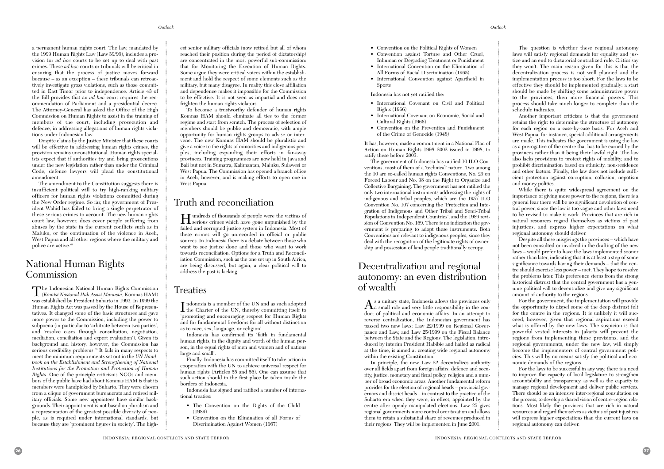- Convention against Torture and Other Cruel, Inhuman or Degrading Treatment or Punishment
- International Convention on the Elimination of All Forms of Racial Discrimination (1965)
- International Convention against Apartheid in Sports

Indonesia has not yet ratified the:

- International Covenant on Civil and Political Rights (1966)
- International Covenant on Economic, Social and Cultural Rights (1966)
- Convention on the Prevention and Punishment of the Crime of Genocide (1948)

It has, however, made a commitment in a National Plan of Action on Human Rights 1998–2002 issued in 1998, to ratify these before 2003.

 $\mathbf{A}$ s a unitary state, Indonesia allows the provinces only<br>a small role and very little responsibility in the conduct of political and economic affairs. In an attempt to reverse centralization, the Indonesian government has passed two new laws: Law 22/1999 on Regional Governance and Law, and Law 25/1999 on the Fiscal Balance between the State and the Regions. The legislation, introduced by interim President Habibie and hailed as radical at the time, is aimed at creating wide regional autonomy within the existing Constitution.

The government of Indonesia has ratified 10 ILO Conventions, most of them of a 'technical' nature. Two among the 10 are so-called human rights Conventions, No. 29 on Forced Labour and No. 98 on the Right to Organize and Collective Bargaining. The government has not ratified the only two international instruments addressing the rights of indigenous and tribal peoples, which are the 1957 ILO Convention No. 107 concerning the 'Protection and Integration of Indigenous and Other Tribal and Semi-Tribal Populations in Independent Countries', and the 1989 revision of Convention No. 169. There is no indication the government is preparing to adopt these instruments. Both Conventions are relevant to indigenous peoples, since they deal with the recognition of the legitimate rights of ownership and possession of land people traditionally occupy.

## Decentralization and regional autonomy: an even distribution of wealth

While there is quite widespread agreement on the importance of giving more power to the regions, there is a general fear there will be no significant devolution of central power, since the law is too vague and other laws need to be revised to make it work. Provinces that are rich in natural resources regard themselves as victims of past injustices, and express higher expectations on what regional autonomy should deliver.

In principle, the new Law 22 decentralizes authority over all fields apart from foreign affairs, defence and security, justice, monetary and fiscal policy, religion and a number of broad economic areas. Another fundamental reform provides for the election of regional heads – provincial governors and district heads – in contrast to the practice of the Suharto era when they were, in effect, appointed by the centre after openly manipulated elections. Law 25 gives regional governments more control over taxation and allows them to retain a substantial share of revenues produced in their regions. They will be implemented in June 2001.

The question is whether these regional autonomy laws will satisfy regional demands for equality and justice and an end to dictatorial centralized rule. Critics say they won't. The main reason given for this is that the decentralization process is not well planned and the implementation process is too short. For the laws to be effective they should be implemented gradually: a start should be made by shifting some administrative power to the provinces, then more financial powers. This process should take much longer to complete than the schedule indicates.

Another important criticism is that the government retains the right to determine the structure of autonomy for each region on a case-by-case basis. For Aceh and West Papua, for instance, special additional arrangements are made. This indicates the government is using the law as a prerogative of the centre that has to be earned by the provinces rather than it being their lawful right. The law also lacks provisions to protect rights of mobility, and to prohibit discrimination based on ethnicity, non-residence and other factors. Finally, the law does not include sufficient protection against corruption, collusion, nepotism and money politics.

### National Human Rights **Commission**

Despite all these misgivings the provinces – which have not been consulted or involved in the drafting of the new laws – would prefer to have the laws implemented sooner rather than later, indicating that it is at least a step of some significance towards having their demands – that the centre should exercise less power – met. They hope to resolve the problems later. This preference stems from the strong historical distrust that the central government has a genuine political will to decentralize and give any significant amount of authority to the regions.

For the government, the implementation will provide the opportunity to dispel some of the deep distrust felt for the centre in the regions. It is unlikely it will succeed, however, given that regional aspirations exceed what is offered by the new laws. The suspicion is that powerful vested interests in Jakarta will prevent the regions from implementing these provisions, and the regional governments, under the new law, will simply become the implementers of central government policies. This will by no means satisfy the political and economic demands of the regions.

**HU** undreds of thousands of people were the victims of serious crimes which have gone unpunished by the serious crimes which have gone unpunished by the serious crimes. failed and corrupted justice system in Indonesia. Most of these crimes will go unrecorded in official or public sources. In Indonesia there is a debate between those who want to see justice done and those who want to work towards reconciliation. Options for a Truth and Reconciliation Commission, such as the one set up in South Africa, are being discussed, but again, a clear political will to address the past is lacking.

I ndonesia is a member of the UN and as such adopted<br>the Charter of the UN, thereby committing itself to<br>faulthing and approximating name of faulthing Bights 'promoting and encouraging respect for Human Rights and for fundamental freedoms for all without distinction as to race, sex, language, or religion'.

Indonesia has confirmed its 'faith in fundamental human rights, in the dignity and worth of the human person, in the equal rights of men and women and of nations large and small'.

> For the laws to be successful in any way, there is a need to improve the capacity of local legislature to strengthen accountability and transparency, as well as the capacity to manage regional development and deliver public services. There should be an intensive inter-regional consultation on the process, to develop a shared vision of centre–region relations. Most likely the provinces that are rich in natural resources and regard themselves as victims of past injustices will express higher expectations than the current laws on regional autonomy can deliver.

> > **27**

a permanent human rights court. The law, mandated by the 1999 Human Rights Law (Law 39/99), includes a provision for *ad hoc* courts to be set up to deal with past crimes. These *ad hoc* courts or tribunals will be critical in ensuring that the process of justice moves forward because – as an exception – these tribunals can retroactively investigate gross violations, such as those committed in East Timor prior to independence. Article 43 of the Bill provides that an *ad hoc* court requires the recommendation of Parliament and a presidential decree. The Attorney-General has asked the Office of the High Commission on Human Rights to assist in the training of members of the court, including prosecution and defence, in addressing allegations of human rights violations under Indonesian law.

Despite claims by the Justice Minister that these courts will be effective in addressing human rights crimes, the provision remains unconstitutional. Human rights specialists expect that if authorities try and bring prosecutions under the new legislation rather than under the Criminal Code, defence lawyers will plead the constitutional amendment.

The amendment to the Constitution suggests there is insufficient political will to try high-ranking military officers for human rights violations committed during the New Order regime. So far, the government of President Wahid has failed to bring a single perpetrator of these serious crimes to account. The new human rights court law, however, does cover people suffering from abuses by the state in the current conflicts such as in Maluku, or the continuation of the violence in Aceh, West Papua and all other regions where the military and police are active.68

The Indonesian National Human Rights Commission (*Komisi Nasional Hak Asasi Manusia*, Komnas HAM) was established by President Suharto in 1993. In 1999 the Human Rights Act was passed by the House of Representatives. It changed some of the basic structures and gave more power to the Commission, including the power to subpoena (in particular to 'arbitrate between two parties', and 'resolve cases through consultation, negotiation, mediation, conciliation and expert evaluation'). Given its background and history, however, the Commission has serious credibility problems.<sup>69</sup> It fails in many respects to meet the minimum requirements set out in the *UN Handbook on the Establishment and Strengthening of National Institutions for the Promotion and Protection of Human Rights*. One of the principle criticisms NGOs and members of the public have had about Komnas HAM is that its members were handpicked by Suharto. They were chosen from a clique of government bureaucrats and retired military officials. Some new appointees have similar backgrounds. Their appointment is not based on pluralism and a representation of the greatest possible diversity of people, as is required under international standards, but because they are 'prominent figures in society'. The highest senior military officials (now retired but all of whom reached their position during the period of dictatorship) are concentrated in the most powerful sub-commission: that for Monitoring the Execution of Human Rights. Some argue they were critical voices within the establishment and hold the respect of some elements such as the military, but many disagree. In reality this close affiliation and dependence makes it impossible for the Commission to be effective. It is not seen as impartial and does not frighten the human rights violators.

To become a trustworthy defender of human rights Komnas HAM should eliminate all ties to the former regime and start from scratch. The process of selection of members should be public and democratic, with ample opportunity for human rights groups to advise or intervene. The new Komnas HAM should be pluralistic and give a voice to the rights of minorities and indigenous peoples, including expanding their efforts in far-away provinces. Training programmes are now held in Java and Bali but not in Sumatra, Kalimantan, Maluku, Sulawesi or West Papua. The Commission has opened a branch office in Aceh, however, and is making efforts to open one in West Papua.

### Truth and reconciliation

#### Treaties

Finally, Indonesia has committed itself to take action in cooperation with the UN to achieve universal respect for human rights (Articles 55 and 56). One can assume that such action should in the first place be taken inside the borders of Indonesia.

Indonesia has signed and ratified a number of international treaties:

- The Convention on the Rights of the Child (1989)
- Convention on the Elimination of all Forms of Discrimination Against Women (1967)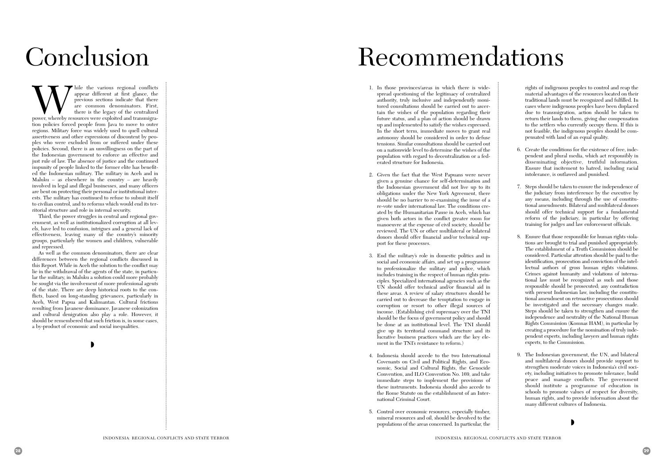- 1. In those provinces/areas in which there is widespread questioning of the legitimacy of centralized authority, truly inclusive and independently monitored consultations should be carried out to ascertain the wishes of the population regarding their future status, and a plan of action should be drawn up and implemented to satisfy the wishes expressed. In the short term, immediate moves to grant real autonomy should be considered in order to defuse tensions. Similar consultations should be carried out on a nationwide level to determine the wishes of the population with regard to decentralization or a federated structure for Indonesia.
- 2. Given the fact that the West Papuans were never given a genuine chance for self-determination and the Indonesian government did not live up to its obligations under the New York Agreement, there should be no barrier to re-examining the issue of a re-vote under international law. The conditions created by the Humanitarian Pause in Aceh, which has given both actors in the conflict greater room for manoeuvre at the expense of civil society, should be reviewed. The UN or other multilateral or bilateral donors should offer financial and/or technical support for these processes.
- 3. End the military's role in domestic politics and in social and economic affairs, and set up a programme to professionalize the military and police, which includes training in the respect of human rights principles. Specialized international agencies such as the UN should offer technical and/or financial aid in these areas. A review of salary structures should be carried out to decrease the temptation to engage in corruption or resort to other illegal sources of income. (Establishing civil supremacy over the TNI should be the focus of government policy and should be done at an institutional level. The TNI should give up its territorial command structure and its lucrative business practices which are the key element in the TNI's resistance to reform.)
- 4. Indonesia should accede to the two International Covenants on Civil and Political Rights, and Economic, Social and Cultural Rights, the Genocide Convention, and ILO Convention No. 169, and take immediate steps to implement the provisions of these instruments. Indonesia should also accede to the Rome Statute on the establishment of an International Criminal Court.
- 5. Control over economic resources, especially timber, mineral resources and oil, should be devolved to the populations of the areas concerned. In particular, the

rights of indigenous peoples to control and reap the material advantages of the resources located on their traditional lands must be recognized and fulfilled. In cases where indigenous peoples have been displaced due to transmigration, action should be taken to return their lands to them, giving due compensation to the settlers who currently occupy them. If this is not feasible, the indigenous peoples should be compensated with land of an equal quality.

We appear different at first glance, the previous sections indicate that there are common denominators. First, there is the legacy of the centralized power, whereby resources were exploited and transmigration policies forc appear different at first glance, the previous sections indicate that there are common denominators. First, there is the legacy of the centralized power, whereby resources were exploited and transmigration policies forced people from Java to move to outer regions. Military force was widely used to quell cultural assertiveness and other expressions of discontent by peoples who were excluded from or suffered under these policies. Second, there is an unwillingness on the part of the Indonesian government to enforce an effective and just rule of law. The absence of justice and the continued impunity of people linked to the former elite has benefited the Indonesian military. The military in Aceh and in Maluku – as elsewhere in the country – are heavily involved in legal and illegal businesses, and many officers are bent on protecting their personal or institutional interests. The military has continued to refuse to submit itself to civilian control, and to reforms which would end its territorial structure and role in internal security.

- 6. Create the conditions for the existence of free, independent and plural media, which act responsibly in disseminating objective, truthful information. Ensure that incitement to hatred, including racial intolerance, is outlawed and punished.
- 7. Steps should be taken to ensure the independence of the judiciary from interference by the executive by any means, including through the use of constitutional amendments. Bilateral and multilateral donors should offer technical support for a fundamental reform of the judiciary, in particular by offering training for judges and law enforcement officials.
- 8. Ensure that those responsible for human rights violations are brought to trial and punished appropriately. The establishment of a Truth Commission should be considered. Particular attention should be paid to the identification, prosecution and conviction of the intellectual authors of gross human rights violations. Crimes against humanity and violations of international law must be recognized as such and those responsible should be prosecuted; any contradiction with present Indonesian law, including the constitutional amendment on retroactive prosecutions should be investigated and the necessary changes made. Steps should be taken to strengthen and ensure the independence and neutrality of the National Human Rights Commission (Komnas HAM), in particular by creating a procedure for the nomination of truly independent experts, including lawyers and human rights experts, to the Commission.
- 9. The Indonesian government, the UN, and bilateral and multilateral donors should provide support to strengthen moderate voices in Indonesia's civil society, including initiatives to promote tolerance, build peace and manage conflicts. The government should institute a programme of education in schools to promote values of respect for diversity, human rights, and to provide information about the many different cultures of Indonesia.

◗

Third, the power struggles in central and regional government, as well as institutionalized corruption at all levels, have led to confusion, intrigues and a general lack of effectiveness, leaving many of the country's minority groups, particularly the women and children, vulnerable and repressed.

As well as the common denominators, there are clear differences between the regional conflicts discussed in this Report. While in Aceh the solution to the conflict may lie in the withdrawal of the agents of the state, in particular the military, in Maluku a solution could more probably be sought via the involvement of more professional agents of the state. There are deep historical roots to the conflicts, based on long-standing grievances, particularly in Aceh, West Papua and Kalimantan. Cultural frictions resulting from Javanese dominance, Javanese colonization and cultural denigration also play a role. However, it should be remembered that such friction is, in some cases, a by-product of economic and social inequalities.

# Conclusion Recommendations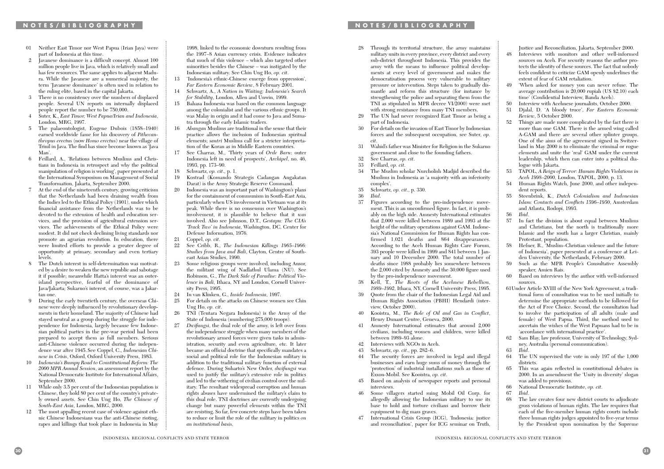- 28 Through its territorial structure, the army maintains military units in every province, every district and every sub-district throughout Indonesia. This provides the army with the means to influence political developments at every level of government and makes the democratisation process very vulnerable to military pressure or intervention. Steps taken to gradually dismantle and reform this structure (for instance by strengthening the police and separating them from the TNI as stipulated in MPR decree VI/2000) were met with strong resistance from many TNI members.
- 29 The UN had never recognized East Timor as being a part of Indonesia.
- 30 For details on the invasion of East Timor by Indonesian forces and the subsequent occupation, see Suter, *op. cit*.
- 31 Wahid's father was Minister for Religion in the Sukarno government and close to the founding fathers.
- 32 See Charras, *op. cit*.
- 33 Feillard, *op. cit*.
- The Muslim scholar Nurcholish Madjid described the Muslims in Indonesia as 'a majority with an inferiority complex'.
- 35 Schwartz, *op. cit*., p. 330.
- 36 *Ibid*.
- Figures according to the pro-independence movement. This is an unconfirmed figure. In fact, it is probably on the high side. Amnesty International estimates that 2,000 were killed between 1989 and 1993 at the height of the military operations against GAM. Indonesia's National Commission for Human Rights has confirmed 1,021 deaths and 864 disappearances. According to the Aceh Human Rights Care Forum, 393 people were killed in 1999 and 841 between 1 January and 10 December 2000. The total number of deaths since 1988 probably lies somewhere between the 2,000 cited by Amnesty and the 30,000 figure used by the pro-independence movement.
- 38 Kell, T., *The Roots of the Acehnese Rebellion*, *1989–1992*, Ithaca, NY, Cornell University Press, 1995.
- 39 Quote from the chair of the Indonesian Legal Aid and Human Rights Association (PBHI) Hendardi (interview, October 2000).
- 40 Kooistra, M., *The Role of Oil and Gas in Conflict*, Henry Dunant Centre, Geneva, 2000.
- 41 Amnesty International estimates that around 2,000 civilians, including women and children, were killed between 1989–93 alone.
- 42 Interviews with NGOs in Aceh.
- 43 Schwartz, *op. cit*., pp. 282–6.
- 44 The security forces are involved in legal and illegal businesses and earn huge sums of money through the 'protection' of industrial installations such as those of Exxon-Mobil. See Kooistra, *op. cit*.
- 45 Based on analysis of newspaper reports and personal interviews.
- 46 Some villagers started suing Mobil Oil Corp. for allegedly allowing the Indonesian military to use its base to hold and torture civilians and borrow their equipment to dig mass graves.
- 47 International Crisis Group (ICG), 'Indonesia: justice and reconciliation', paper for ICG seminar on Truth,

Justice and Reconciliation, Jakarta, September 2000.

- 48 Interviews with monitors and other well-informed sources on Aceh. For security reasons the author protects the identity of these sources. The fact that nobody feels confident to criticize GAM openly underlines the extent of fear of GAM retaliation.
- 49 'When asked for money you can never refuse. The average contribution is 20,000 rupiah (US \$2.10) each time' (Confidential Interview, Banda Aceh).
- 50 Interview with Acehnese journalists, October 2000.
- 51 Djalal, D. 'A bloody truce', *Far Eastern Economic Review*, 5 October 2000.
- 52 Things are made more complicated by the fact there is more than one GAM. There is the armed wing called A-GAM and there are several other splinter groups. One of the aims of the agreement signed in Switzerland in May 2000 is to eliminate the criminal or rogue elements and unite the 'real' GAM under the current leadership, which then can enter into a political dialogue with Jakarta.
- 53 TAPOL, *A Reign of Terror: Human Rights Violations in Aceh 1998–2000*, London, TAPOL, 2000, p. 13.
- 54 Human Rights Watch, June 2000, and other independent reports.
- 55 Steenbrink, K., *Dutch Colonialism and Indonesian Islam: Contacts and Conflicts 1596–1950*, Amsterdam and Atlanta, Rodopi, 1993.
- 56 *Ibid*.
- 57 In fact the division is about equal between Muslims and Christians, but the north is traditionally more Islamic and the south has a larger Christian, mainly Protestant, population.
- 58 Hefner, R., 'Muslim–Christian violence and the future of Indonesia', paper presented at a conference at Leiden University, the Netherlands, February 2000.
- 59 Such as the MPR People's Consultative Assembly speaker, Amien Rais.
- 60 Based on interviews by the author with well-informed sources.
- 61Under Article XVIII of the New York Agreement, a traditional form of consultation was to be used initially to determine the appropriate methods to be followed for the Act of Free Choice. Second, the consultation had to involve the participation of all adults (male and female) of West Papua. Third, the method used to ascertain the wishes of the West Papuans had to be in 'accordance with international practice'.
- 62 Sam Blay, law professor, University of Technology, Sydney, Australia (personal communication).
- 63 *Ibid*.
- The UN supervised the vote in only 197 of the 1,000 districts.
- 65 This was again reflected in constitutional debates in 2000. In an amendment the 'Unity in diversity' slogan was added to provisions.
- 66 National Democratic Institute, *op. cit*.
- 67 *Ibid*.
- The law creates four new district courts to adjudicate gross violations of human rights. The law requires that each of the five-member human rights courts include three human rights judges appointed to five-year terms by the President upon nomination by the Supreme

- 01 Neither East Timor nor West Papua (Irian Jaya) were part of Indonesia at this time.
- 2 Javanese dominance is a difficult concept. Almost 100 million people live in Java, which is relatively small and has few resources. The same applies to adjacent Madura. While the Javanese are a numerical majority, the term 'Javanese dominance' is often used in relation to the ruling elite, based in the capital Jakarta.
- 3 There is no consistency over the numbers of displaced people. Several UN reports on internally displaced people report the number to be 750,000.
- 4 Suter, K., *East Timor, West Papua/Irian and Indonesia*, London, MRG, 1997.
- 5 The palaeontologist, Eugene Dubois (1858–1940) earned worldwide fame for his discovery of *Pithecanthropus erectus* (now *Homo erectus*) near the village of Trinil in Java. The find has since become known as 'Java Man'.
- 6 Feillard, A., 'Relations between Muslims and Christians in Indonesia in retrospect and why the political manipulation of religion is working', paper presented at the International Symposium on Management of Social Transformation, Jakarta, September 2000.
- 7 At the end of the nineteenth century, growing criticism that the Netherlands had been draining wealth from the Indies led to the Ethical Policy (1901), under which financial assistance from the Netherlands was to be devoted to the extension of health and education services, and the provision of agricultural extension services. The achievements of the Ethical Policy were modest. It did not check declining living standards nor promote an agrarian revolution. In education, there were limited efforts to provide a greater degree of opportunity at primary, secondary and even tertiary levels.
- 8 The Dutch interest in self-determination was motivated by a desire to weaken the new republic and sabotage it if possible; meanwhile Hatta's interest was an outerisland perspective, fearful of the dominance of Java/Jakarta; Sukarno's interest, of course, was a Jakartan one.
- 9 During the early twentieth century, the overseas Chinese were deeply influenced by revolutionary developments in their homeland. The majority of Chinese had stayed neutral as a group during the struggle for independence for Indonesia, largely because few Indonesian political parties in the pre-war period had been prepared to accept them as full members. Serious anti-Chinese violence occurred during the independence war after 1945. See Coppel, C., *Indonesian Chinese in Crisis*, Oxford, Oxford University Press, 1983.
- 10 *Indonesia's Bumpy Road to Constitutional Reform: The 2000 MPR Annual Session*, an assessment report by the National Democratic Institute for International Affairs, September 2000.
- 11 While only 3.5 per cent of the Indonesian population is Chinese, they hold 80 per cent of the country's privately owned assets. See Chin Ung Ho, *The Chinese of South-East Asia*, London, MRG, 2000.
- 12 The most appalling recent case of violence against ethnic Chinese Indonesians was the anti-Chinese rioting, rapes and killings that took place in Indonesia in May

1998, linked to the economic downturn resulting from the 1997–8 Asian currency crisis. Evidence indicates that much of this violence – which also targeted other minorities besides the Chinese – was instigated by the Indonesian military. See Chin Ung Ho, *op. cit*.

- 13 'Indonesia's ethnic-Chinese emerge from oppression', *Far Eastern Economic Review*, 8 February 2001.
- 14 Schwartz, A., *A Nation in Waiting: Indonesia's Search for Stability*, London, Allen and Unwin, 1999.
- 15 Bahasa Indonesia was based on the common language among the colonialist and the various ethnic groups. It was Malay in origin and it had come to Java and Sumatra through the early Islamic traders.
- 16 *Abangan* Muslims are traditional in the sense that their practice allows the inclusion of Indonesian spiritual elements; *santri* Muslims call for a stricter interpretation of the Koran as in Middle Eastern countries.
- 17 See Charras, M., 'Thirty years of *Orde Baru*: outer Indonesia left in need of prospects', *Archipel*, no. 46, 1993, pp. 173–90.
- 18 Schwartz, *op. cit*., p. 1.
- 19 Kostrad (Komando Strategis Cadangan Angakatan Darat) is the Army Strategic Reserve Command.
- 20 Indonesia was an important part of Washington's plans for the containment of communism in South-East Asia, particularly when US involvement in Vietnam was at its peak. While there is no consensus over Washington's involvement, it is plausible to believe that it *was* involved. Also see Johnson, D.T., *Gestapu: The CIA's 'Track Two' in Indonesia*, Washington, DC, Center for Defense Information, 1976.
- 21 Coppel, *op. cit*.
- 22 See Cribb, R., *The Indonesian Killings 1965–1966: Studies from Java and Bali*, Clayton, Centre of Southeast Asian Studies, 1990.
- 23 Some religious groups were involved, including Ansor, the militant wing of Nadlathul Ulama (NU). See Robinson, G., *The Dark Side of Paradise: Political Violence in Bali*, Ithaca, NY and London, Cornell University Press, 1995.
- 24 In van Klinken, G., *Inside Indonesia*, 1997.
- 25 For details on the attacks on Chinese women see Chin Ung Ho, *op. cit*.
- 26 TNI (Tentara Negara Indonesia) is the Army of the State of Indonesia (numbering 275,000 troops).
- 27 *Dwifungsi*, the dual role of the army, is left over from the independence struggle when many members of the revolutionary armed forces were given tasks in administration, security and even agriculture, etc. It later became an official doctrine that specifically mandates a social and political role for the Indonesian military in addition to the traditional military function of external defence. During Suharto's New Order, *dwifungsi* was used to justify the military's extensive role in politics and led to the withering of civilian control over the military. The resultant widespread corruption and human rights abuses have undermined the military's claim to this dual role. TNI doctrines are currently undergoing change but many powerful elements within the TNI are resisting. So far, few concrete steps have been taken to reduce or limit the role of the military in politics *on an institutional basis*.

#### **NOTES/BIBLIOGRAPHY NOTES/BIBLIOGRAPHY**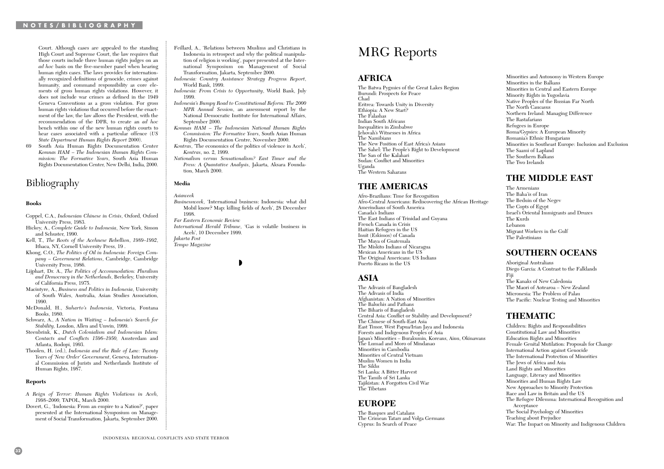#### **AFRICA**

The Batwa Pygmies of the Great Lakes Region Burundi: Prospects for Peace Chad Eritrea: Towards Unity in Diversity Ethiopia: A New Start? The Falashas Indian South Africans Inequalities in Zimbabwe Jehovah's Witnesses in Africa .<br>The Namibians The New Position of East Africa's Asians The Sahel: The People's Right to Development The San of the Kalahari Sudan: Conflict and Minorities Uganda The Western Saharans

Afro-Brazilians: Time for Recognition Afro-Central Americans: Rediscovering the African Heritage Amerindians of South America Canada's Indians The East Indians of Trinidad and Guyana French Canada in Crisis Haitian Refugees in the US Inuit (Eskimos) of Canada The Maya of Guatemala The Miskito Indians of Nicaragua Mexican Americans in the US The Original Americans: US Indians Puerto Ricans in the US

#### **THE AMERICAS**

#### **ASIA**

The Adivasis of Bangladesh The Adivasis of India Afghanistan: A Nation of Minorities The Baluchis and Pathans The Biharis of Bangladesh Central Asia: Conflict or Stability and Development? The Chinese of South-East Asia East Timor, West Papua/Irian Jaya and Indonesia Forests and Indigenous Peoples of Asia Japan's Minorities – Burakumin, Koreans, Ainu, Okinawans The Lumad and Moro of Mindanao Minorities in Cambodia Minorities of Central Vietnam Muslim Women in India The Sikhs Sri Lanka: A Bitter Harvest The Tamils of Sri Lanka Tajikistan: A Forgotten Civil War The Tibetans

#### **EUROPE**

The Basques and Catalans The Crimean Tatars and Volga Germans Cyprus: In Search of Peace

Minorities and Autonomy in Western Europe Minorities in the Balkans Minorities in Central and Eastern Europe Minority Rights in Yugoslavia Native Peoples of the Russian Far North The North Caucasus Northern Ireland: Managing Difference The Rastafarians Refugees in Europe Roma/Gypsies: A European Minority Romania's Ethnic Hungarians Minorities in Southeast Europe: Inclusion and Exclusion The Saami of Lapland The Southern Balkans The Two Irelands

#### **THE MIDDLE EAST**

The Armenians The Baha'is of Iran The Beduin of the Negev The Copts of Egypt Israel's Oriental Immigrants and Druzes The Kurds Lebanon Migrant Workers in the Gulf The Palestinians

#### **SOUTHERN OCEANS**

Aboriginal Australians Diego Garcia: A Contrast to the Falklands Fiji The Kanaks of New Caledonia The Maori of Aotearoa – New Zealand Micronesia: The Problem of Palau The Pacific: Nuclear Testing and Minorities

## **THEMATIC**

Children: Rights and Responsibilities Constitutional Law and Minorities Education Rights and Minorities Female Genital Mutilation: Proposals for Change International Action against Genocide The International Protection of Minorities The Jews of Africa and Asia Land Rights and Minorities Language, Literacy and Minorities Minorities and Human Rights Law New Approaches to Minority Protection Race and Law in Britain and the US The Refugee Dilemma: International Recognition and Acceptance The Social Psychology of Minorities Teaching about Prejudice War: The Impact on Minority and Indigenous Children

- Court. Although cases are appealed to the standing Feillard, A., 'Relations between Muslims and Christians in  $\text{MRG Reports}$ Feillard, A., 'Relations between Muslims and Christians in Indonesia in retrospect and why the political manipulation of religion is working', paper presented at the International Symposium on Management of Social Transformation, Jakarta, September 2000.
	- *Indonesia: Country Assistance Strategy Progress Report*, World Bank, 1999.
	- *Indonesia: From Crisis to Opportunity*, World Bank, July 1999.
	- *Indonesia's Bumpy Road to Constitutional Reform: The 2000 MPR Annual Session*, an assessment report by the National Democratic Institute for International Affairs, September 2000.
	- *Komnas HAM The Indonesian National Human Rights Commission: The Formative Years*, South Asian Human Rights Documentation Centre, November 2000.
	- *Kontras*, 'The economics of the politics of violence in Aceh', *Kontras*, no. 2, 1999.
	- *Nationalism versus Sensationalism? East Timor and the Press: A Quantative Analysis*, Jakarta, Aksara Foundation, March 2000.

High Court and Supreme Court, the law requires that those courts include three human rights judges on an *ad hoc* basis on the five-member panel when hearing human rights cases. The laws provides for internationally recognized definitions of genocide, crimes against humanity, and command responsibility as core elements of gross human rights violations. However, it does not include war crimes as defined in the 1949 Geneva Conventions as a gross violation. For gross human rights violations that occurred before the enactment of the law, the law allows the President, with the recommendation of the DPR, to create an *ad hoc* bench within one of the new human rights courts to hear cases associated with a particular offence (*US State Department Human Rights Report* 2000).

69 South Asia Human Rights Documentation Center *Komnas HAM – The Indonesian Human Rights Commission: The Formative Years*, South Asia Human Rights Documentation Center, New Delhi, India, 2000.

## Bibliography

#### **Books**

- Coppel, C.A., *Indonesian Chinese in Crisis*, Oxford, Oxford University Press, 1983.
- Hickey, A., *Complete Guide to Indonesia*, New York, Simon and Schuster, 1990.
- Kell, T., *The Roots of the Acehnese Rebellion*, *1989*–*1992*, Ithaca, NY, Cornell University Press, 19 .
- Khong, C.O., *The Politics of Oil in Indonesia: Foreign Company – Government Relations*, Cambridge, Cambridge University Press, 1986.
- Lijphart, Dr. A., *The Politics of Accommodation: Pluralism and Democracy in the Netherlands*, Berkeley, University of California Press, 1975.
- Macintyre, A., *Business and Politics in Indonesia*, University of South Wales, Australia, Asian Studies Association, 1990.
- McDonald, H., *Suharto's Indonesia*, Victoria, Fontana Books, 1980.
- Schwarz, A., *A Nation in Waiting Indonesia's Search for Stability,* London, Allen and Unwin, 1999.
- Steenbrink, K., *Dutch Colonialism and Indonesian Islam:* C*ontacts and Conflicts 1596–1950,* Amsterdam and Atlanta, Rodopi, 1993.
- Thoolen, H. (ed.), *Indonesia and the Rule of Law: Twenty Years of 'New Order' Government*, Geneva, International Commission of Jurists and Netherlands Institute of Human Rights, 1987.

#### **Reports**

- *A Reign of Terror: Human Rights Violations in Aceh, 1998–2000,* TAPOL, March 2000.
- Dovert, G., 'Indonesia: From an empire to a Nation?', paper presented at the International Symposium on Management of Social Transformation, Jakarta, September 2000.

#### **Media**

#### *Asiaweek*

- *Businessweek*, 'International business: Indonesia: what did Mobil know? Map: killing fields of Aceh', 28 December 1998.
- *Far Eastern Economic Review*
- *International Herald Tribune*, 'Gas is volatile business in Aceh', 10 December 1999.

*Jakarta Post Tempo Magazine*

#### ◗

#### **NOTES/BIBLIOGRAPHY**